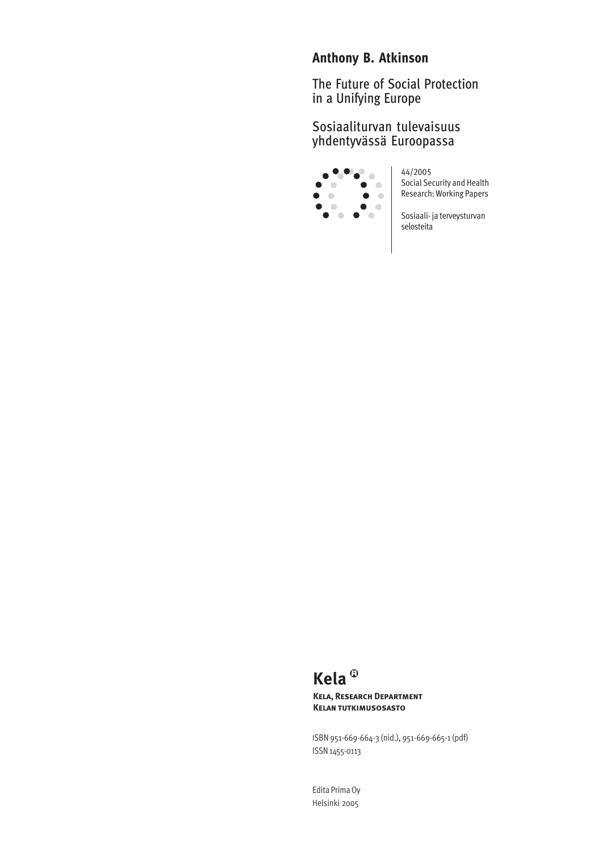# **Anthony B. Atkinson**

The Future of Social Protection in a Unifying Europe

# Sosiaaliturvan tulevaisuus yhdentyvässä Euroopassa



44/2005 Social Security and Health Research: Working Papers

Sosiaali- ja terveysturvan selosteita

# **Kela**

**Kela, Research Department Kelan tutkimusosasto**

ISBN 951-669-664-3 (nid.), 951-669-665-1 (pdf) ISSN 1455-0113

Edita Prima Oy Helsinki 2005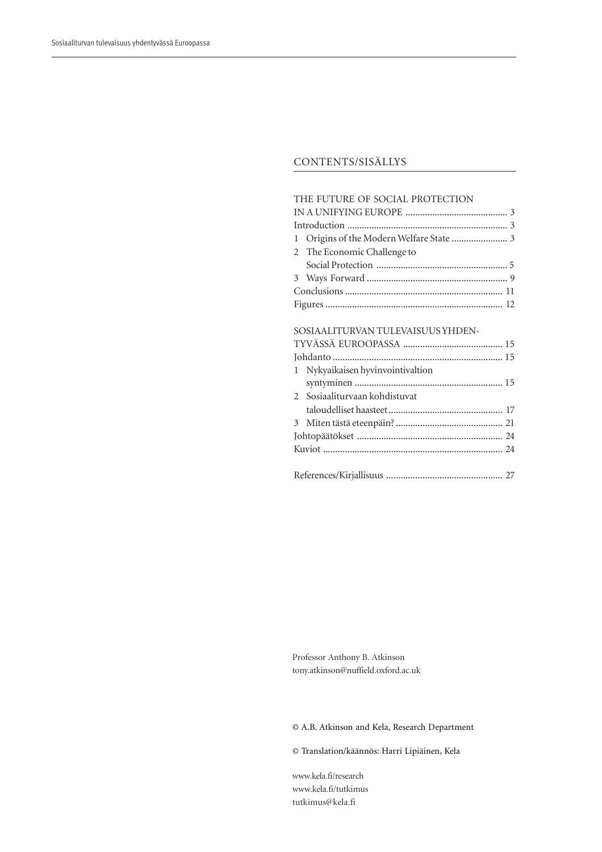#### CONTENTS/SISÄLLYS

#### THE FUTURE OF SOCIAL PROTECTION

| 2 The Economic Challenge to |  |  |
|-----------------------------|--|--|
|                             |  |  |
|                             |  |  |
|                             |  |  |
|                             |  |  |
|                             |  |  |

# SOSIAALITURVAN TULEVAISUUS YHDEN-

|  | 1 Nykyaikaisen hyvinvointivaltion |  |
|--|-----------------------------------|--|
|  |                                   |  |
|  | 2 Sosiaaliturvaan kohdistuvat     |  |
|  |                                   |  |
|  |                                   |  |
|  |                                   |  |
|  |                                   |  |
|  |                                   |  |
|  |                                   |  |

Professor Anthony B. Atkinson tony.atkinson@nuffield.oxford.ac.uk

© A.B. Atkinson and Kela, Research Department

© Translation/käännös: Harri Lipiäinen, Kela

www.kela.fi/research www.kela.fi/tutkimus tutkimus@kela.fi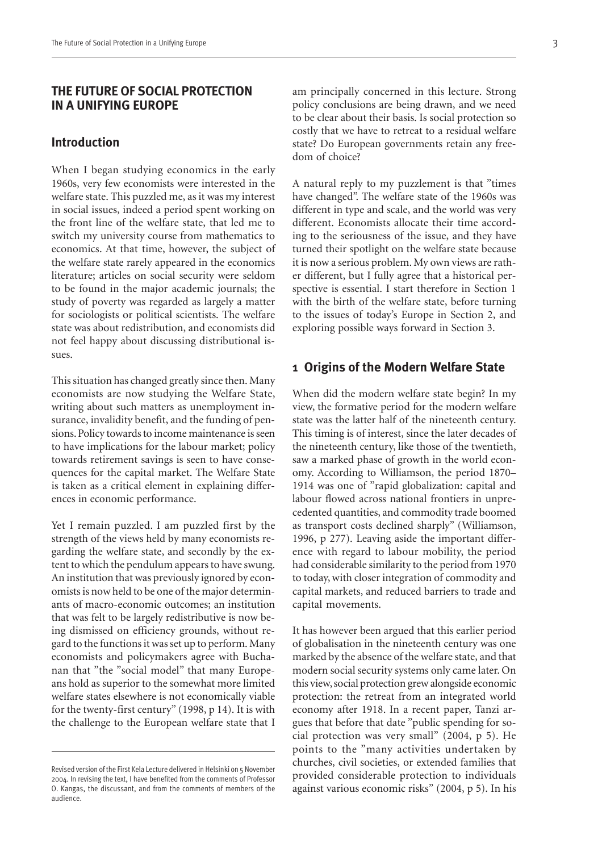#### **THE FUTURE OF SOCIAL PROTECTION IN A UNIFYING EUROPE**

#### **Introduction**

When I began studying economics in the early 1960s, very few economists were interested in the welfare state. This puzzled me, as it was my interest in social issues, indeed a period spent working on the front line of the welfare state, that led me to switch my university course from mathematics to economics. At that time, however, the subject of the welfare state rarely appeared in the economics literature; articles on social security were seldom to be found in the major academic journals; the study of poverty was regarded as largely a matter for sociologists or political scientists. The welfare state was about redistribution, and economists did not feel happy about discussing distributional issues.

This situation has changed greatly since then. Many economists are now studying the Welfare State, writing about such matters as unemployment insurance, invalidity benefit, and the funding of pensions. Policy towards to income maintenance is seen to have implications for the labour market; policy towards retirement savings is seen to have consequences for the capital market. The Welfare State is taken as a critical element in explaining differences in economic performance.

Yet I remain puzzled. I am puzzled first by the strength of the views held by many economists regarding the welfare state, and secondly by the extent to which the pendulum appears to have swung. An institution that was previously ignored by economists is now held to be one of the major determinants of macro-economic outcomes; an institution that was felt to be largely redistributive is now being dismissed on efficiency grounds, without regard to the functions it was set up to perform. Many economists and policymakers agree with Buchanan that "the "social model" that many Europeans hold as superior to the somewhat more limited welfare states elsewhere is not economically viable for the twenty-first century" (1998, p 14). It is with the challenge to the European welfare state that I

A natural reply to my puzzlement is that "times have changed". The welfare state of the 1960s was different in type and scale, and the world was very different. Economists allocate their time according to the seriousness of the issue, and they have turned their spotlight on the welfare state because it is now a serious problem. My own views are rather different, but I fully agree that a historical perspective is essential. I start therefore in Section 1 with the birth of the welfare state, before turning to the issues of today's Europe in Section 2, and exploring possible ways forward in Section 3.

#### **1 Origins of the Modern Welfare State**

When did the modern welfare state begin? In my view, the formative period for the modern welfare state was the latter half of the nineteenth century. This timing is of interest, since the later decades of the nineteenth century, like those of the twentieth, saw a marked phase of growth in the world economy. According to Williamson, the period 1870– 1914 was one of "rapid globalization: capital and labour flowed across national frontiers in unprecedented quantities, and commodity trade boomed as transport costs declined sharply" (Williamson, 1996, p 277). Leaving aside the important difference with regard to labour mobility, the period had considerable similarity to the period from 1970 to today, with closer integration of commodity and capital markets, and reduced barriers to trade and capital movements.

It has however been argued that this earlier period of globalisation in the nineteenth century was one marked by the absence of the welfare state, and that modern social security systems only came later. On this view, social protection grew alongside economic protection: the retreat from an integrated world economy after 1918. In a recent paper, Tanzi argues that before that date "public spending for social protection was very small" (2004, p 5). He points to the "many activities undertaken by churches, civil societies, or extended families that provided considerable protection to individuals against various economic risks" (2004, p 5). In his

Revised version of the First Kela Lecture delivered in Helsinki on 5 November 2004. In revising the text, I have benefited from the comments of Professor O. Kangas, the discussant, and from the comments of members of the audience.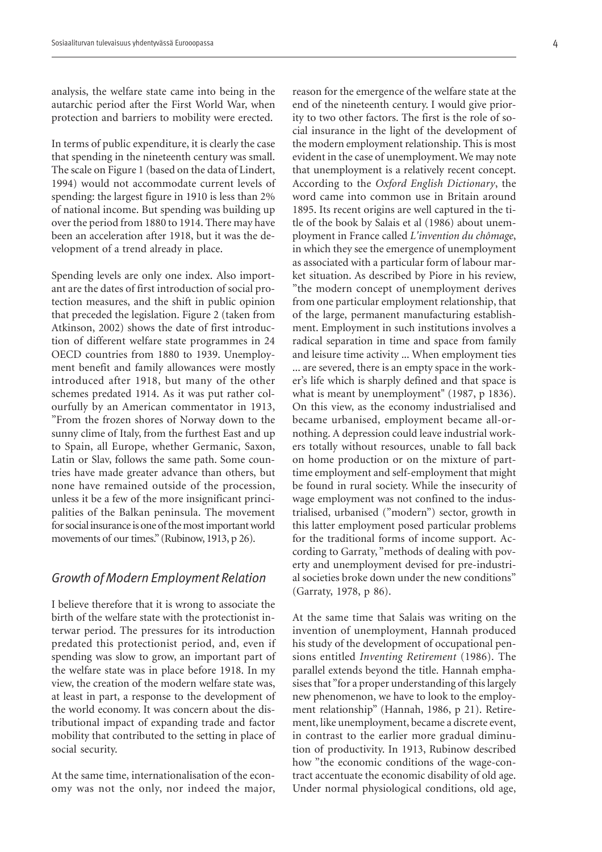analysis, the welfare state came into being in the autarchic period after the First World War, when protection and barriers to mobility were erected.

In terms of public expenditure, it is clearly the case that spending in the nineteenth century was small. The scale on Figure 1 (based on the data of Lindert, 1994) would not accommodate current levels of spending: the largest figure in 1910 is less than 2% of national income. But spending was building up over the period from 1880 to 1914. There may have been an acceleration after 1918, but it was the development of a trend already in place.

Spending levels are only one index. Also important are the dates of first introduction of social protection measures, and the shift in public opinion that preceded the legislation. Figure 2 (taken from Atkinson, 2002) shows the date of first introduction of different welfare state programmes in 24 OECD countries from 1880 to 1939. Unemployment benefit and family allowances were mostly introduced after 1918, but many of the other schemes predated 1914. As it was put rather colourfully by an American commentator in 1913, "From the frozen shores of Norway down to the sunny clime of Italy, from the furthest East and up to Spain, all Europe, whether Germanic, Saxon, Latin or Slav, follows the same path. Some countries have made greater advance than others, but none have remained outside of the procession, unless it be a few of the more insignificant principalities of the Balkan peninsula. The movement for social insurance is one of the most important world movements of our times." (Rubinow, 1913, p 26).

#### *Growth of Modern Employment Relation*

I believe therefore that it is wrong to associate the birth of the welfare state with the protectionist interwar period. The pressures for its introduction predated this protectionist period, and, even if spending was slow to grow, an important part of the welfare state was in place before 1918. In my view, the creation of the modern welfare state was, at least in part, a response to the development of the world economy. It was concern about the distributional impact of expanding trade and factor mobility that contributed to the setting in place of social security.

At the same time, internationalisation of the economy was not the only, nor indeed the major, reason for the emergence of the welfare state at the end of the nineteenth century. I would give priority to two other factors. The first is the role of social insurance in the light of the development of the modern employment relationship. This is most evident in the case of unemployment. We may note that unemployment is a relatively recent concept. According to the *Oxford English Dictionary*, the word came into common use in Britain around 1895. Its recent origins are well captured in the title of the book by Salais et al (1986) about unemployment in France called *L'invention du chômage*, in which they see the emergence of unemployment as associated with a particular form of labour market situation. As described by Piore in his review, "the modern concept of unemployment derives from one particular employment relationship, that of the large, permanent manufacturing establishment. Employment in such institutions involves a radical separation in time and space from family and leisure time activity ... When employment ties ... are severed, there is an empty space in the worker's life which is sharply defined and that space is what is meant by unemployment" (1987, p 1836). On this view, as the economy industrialised and became urbanised, employment became all-ornothing. A depression could leave industrial workers totally without resources, unable to fall back on home production or on the mixture of parttime employment and self-employment that might be found in rural society. While the insecurity of wage employment was not confined to the industrialised, urbanised ("modern") sector, growth in this latter employment posed particular problems for the traditional forms of income support. According to Garraty, "methods of dealing with poverty and unemployment devised for pre-industrial societies broke down under the new conditions" (Garraty, 1978, p 86).

At the same time that Salais was writing on the invention of unemployment, Hannah produced his study of the development of occupational pensions entitled *Inventing Retirement* (1986). The parallel extends beyond the title. Hannah emphasises that "for a proper understanding of this largely new phenomenon, we have to look to the employment relationship" (Hannah, 1986, p 21). Retirement, like unemployment, became a discrete event, in contrast to the earlier more gradual diminution of productivity. In 1913, Rubinow described how "the economic conditions of the wage-contract accentuate the economic disability of old age. Under normal physiological conditions, old age,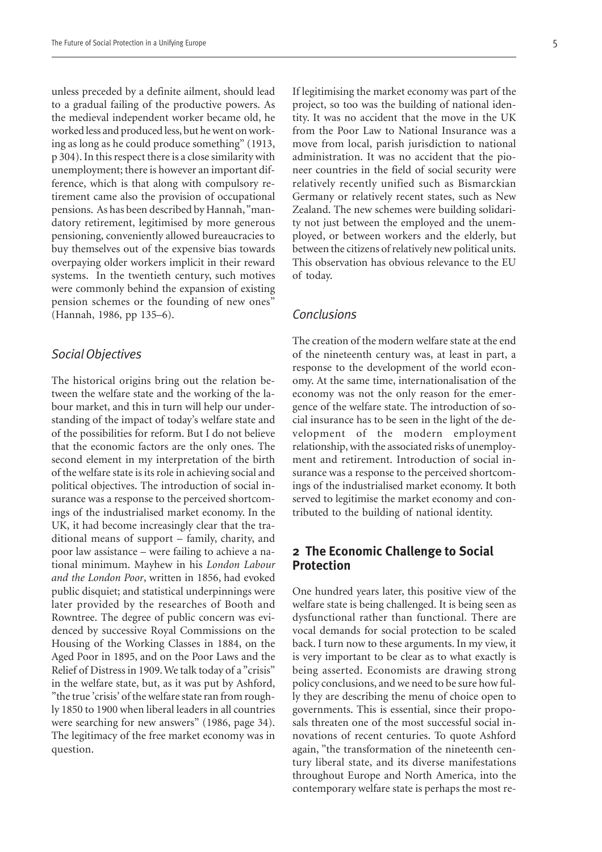unless preceded by a definite ailment, should lead to a gradual failing of the productive powers. As the medieval independent worker became old, he worked less and produced less, but he went on working as long as he could produce something" (1913, p 304). In this respect there is a close similarity with unemployment; there is however an important difference, which is that along with compulsory retirement came also the provision of occupational pensions. As has been described by Hannah, "mandatory retirement, legitimised by more generous pensioning, conveniently allowed bureaucracies to buy themselves out of the expensive bias towards overpaying older workers implicit in their reward systems. In the twentieth century, such motives were commonly behind the expansion of existing pension schemes or the founding of new ones" (Hannah, 1986, pp 135–6).

#### *Social Objectives*

The historical origins bring out the relation between the welfare state and the working of the labour market, and this in turn will help our understanding of the impact of today's welfare state and of the possibilities for reform. But I do not believe that the economic factors are the only ones. The second element in my interpretation of the birth of the welfare state is its role in achieving social and political objectives. The introduction of social insurance was a response to the perceived shortcomings of the industrialised market economy. In the UK, it had become increasingly clear that the traditional means of support – family, charity, and poor law assistance – were failing to achieve a national minimum. Mayhew in his *London Labour and the London Poor*, written in 1856, had evoked public disquiet; and statistical underpinnings were later provided by the researches of Booth and Rowntree. The degree of public concern was evidenced by successive Royal Commissions on the Housing of the Working Classes in 1884, on the Aged Poor in 1895, and on the Poor Laws and the Relief of Distress in 1909. We talk today of a "crisis" in the welfare state, but, as it was put by Ashford, "the true 'crisis' of the welfare state ran from roughly 1850 to 1900 when liberal leaders in all countries were searching for new answers" (1986, page 34). The legitimacy of the free market economy was in question.

If legitimising the market economy was part of the project, so too was the building of national identity. It was no accident that the move in the UK from the Poor Law to National Insurance was a move from local, parish jurisdiction to national administration. It was no accident that the pioneer countries in the field of social security were relatively recently unified such as Bismarckian Germany or relatively recent states, such as New Zealand. The new schemes were building solidarity not just between the employed and the unemployed, or between workers and the elderly, but between the citizens of relatively new political units. This observation has obvious relevance to the EU of today.

#### *Conclusions*

The creation of the modern welfare state at the end of the nineteenth century was, at least in part, a response to the development of the world economy. At the same time, internationalisation of the economy was not the only reason for the emergence of the welfare state. The introduction of social insurance has to be seen in the light of the development of the modern employment relationship, with the associated risks of unemployment and retirement. Introduction of social insurance was a response to the perceived shortcomings of the industrialised market economy. It both served to legitimise the market economy and contributed to the building of national identity.

#### **2 The Economic Challenge to Social Protection**

One hundred years later, this positive view of the welfare state is being challenged. It is being seen as dysfunctional rather than functional. There are vocal demands for social protection to be scaled back. I turn now to these arguments. In my view, it is very important to be clear as to what exactly is being asserted. Economists are drawing strong policy conclusions, and we need to be sure how fully they are describing the menu of choice open to governments. This is essential, since their proposals threaten one of the most successful social innovations of recent centuries. To quote Ashford again, "the transformation of the nineteenth century liberal state, and its diverse manifestations throughout Europe and North America, into the contemporary welfare state is perhaps the most re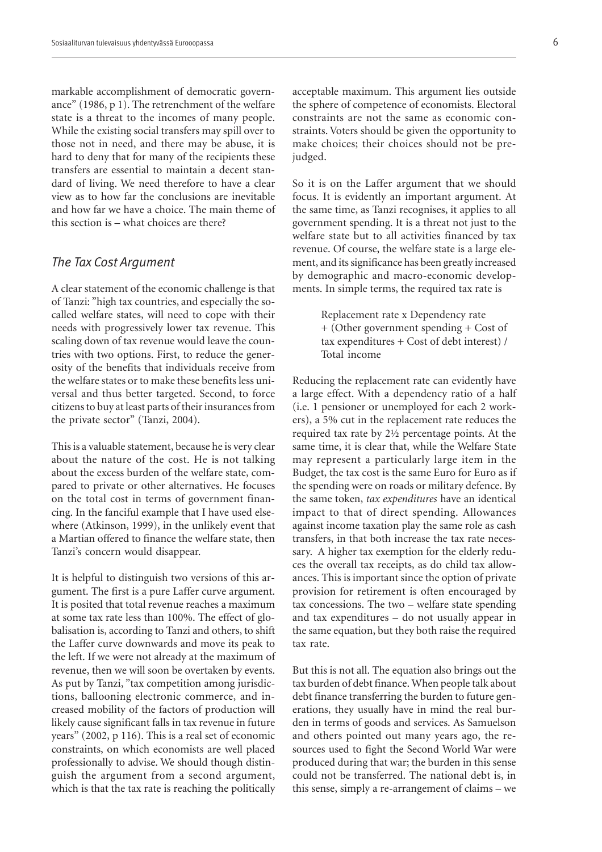markable accomplishment of democratic governance" (1986, p 1). The retrenchment of the welfare state is a threat to the incomes of many people. While the existing social transfers may spill over to those not in need, and there may be abuse, it is hard to deny that for many of the recipients these transfers are essential to maintain a decent standard of living. We need therefore to have a clear view as to how far the conclusions are inevitable and how far we have a choice. The main theme of this section is – what choices are there?

#### *The Tax Cost Argument*

A clear statement of the economic challenge is that of Tanzi: "high tax countries, and especially the socalled welfare states, will need to cope with their needs with progressively lower tax revenue. This scaling down of tax revenue would leave the countries with two options. First, to reduce the generosity of the benefits that individuals receive from the welfare states or to make these benefits less universal and thus better targeted. Second, to force citizens to buy at least parts of their insurances from the private sector" (Tanzi, 2004).

This is a valuable statement, because he is very clear about the nature of the cost. He is not talking about the excess burden of the welfare state, compared to private or other alternatives. He focuses on the total cost in terms of government financing. In the fanciful example that I have used elsewhere (Atkinson, 1999), in the unlikely event that a Martian offered to finance the welfare state, then Tanzi's concern would disappear.

It is helpful to distinguish two versions of this argument. The first is a pure Laffer curve argument. It is posited that total revenue reaches a maximum at some tax rate less than 100%. The effect of globalisation is, according to Tanzi and others, to shift the Laffer curve downwards and move its peak to the left. If we were not already at the maximum of revenue, then we will soon be overtaken by events. As put by Tanzi, "tax competition among jurisdictions, ballooning electronic commerce, and increased mobility of the factors of production will likely cause significant falls in tax revenue in future years" (2002, p 116). This is a real set of economic constraints, on which economists are well placed professionally to advise. We should though distinguish the argument from a second argument, which is that the tax rate is reaching the politically

acceptable maximum. This argument lies outside the sphere of competence of economists. Electoral constraints are not the same as economic constraints. Voters should be given the opportunity to make choices; their choices should not be prejudged.

So it is on the Laffer argument that we should focus. It is evidently an important argument. At the same time, as Tanzi recognises, it applies to all government spending. It is a threat not just to the welfare state but to all activities financed by tax revenue. Of course, the welfare state is a large element, and its significance has been greatly increased by demographic and macro-economic developments. In simple terms, the required tax rate is

> Replacement rate x Dependency rate + (Other government spending + Cost of tax expenditures + Cost of debt interest) / Total income

Reducing the replacement rate can evidently have a large effect. With a dependency ratio of a half (i.e. 1 pensioner or unemployed for each 2 workers), a 5% cut in the replacement rate reduces the required tax rate by 2½ percentage points. At the same time, it is clear that, while the Welfare State may represent a particularly large item in the Budget, the tax cost is the same Euro for Euro as if the spending were on roads or military defence. By the same token, *tax expenditures* have an identical impact to that of direct spending. Allowances against income taxation play the same role as cash transfers, in that both increase the tax rate necessary. A higher tax exemption for the elderly reduces the overall tax receipts, as do child tax allowances. This is important since the option of private provision for retirement is often encouraged by tax concessions. The two – welfare state spending and tax expenditures – do not usually appear in the same equation, but they both raise the required tax rate.

But this is not all. The equation also brings out the tax burden of debt finance. When people talk about debt finance transferring the burden to future generations, they usually have in mind the real burden in terms of goods and services. As Samuelson and others pointed out many years ago, the resources used to fight the Second World War were produced during that war; the burden in this sense could not be transferred. The national debt is, in this sense, simply a re-arrangement of claims – we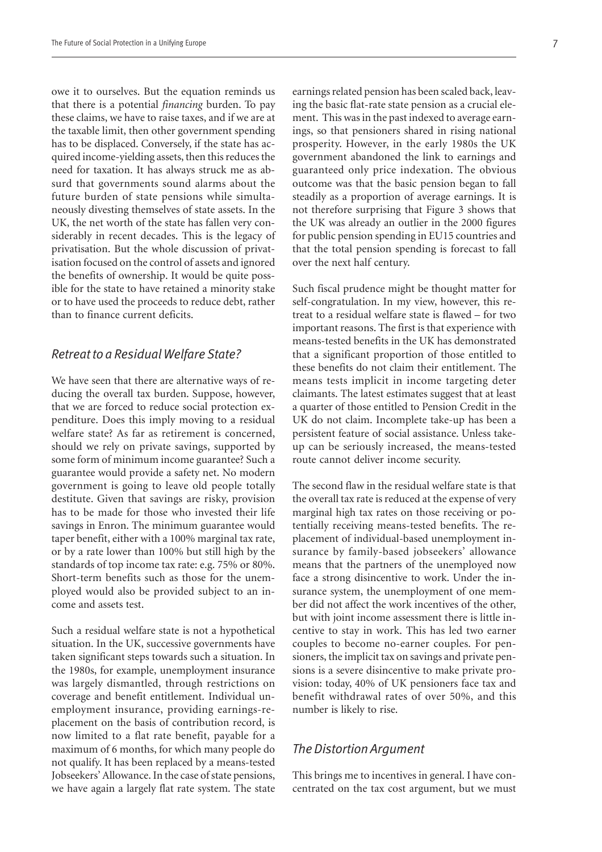owe it to ourselves. But the equation reminds us that there is a potential *financing* burden. To pay these claims, we have to raise taxes, and if we are at the taxable limit, then other government spending has to be displaced. Conversely, if the state has acquired income-yielding assets, then this reduces the need for taxation. It has always struck me as absurd that governments sound alarms about the future burden of state pensions while simultaneously divesting themselves of state assets. In the UK, the net worth of the state has fallen very considerably in recent decades. This is the legacy of privatisation. But the whole discussion of privatisation focused on the control of assets and ignored the benefits of ownership. It would be quite possible for the state to have retained a minority stake or to have used the proceeds to reduce debt, rather than to finance current deficits.

#### *Retreat to a Residual Welfare State?*

We have seen that there are alternative ways of reducing the overall tax burden. Suppose, however, that we are forced to reduce social protection expenditure. Does this imply moving to a residual welfare state? As far as retirement is concerned, should we rely on private savings, supported by some form of minimum income guarantee? Such a guarantee would provide a safety net. No modern government is going to leave old people totally destitute. Given that savings are risky, provision has to be made for those who invested their life savings in Enron. The minimum guarantee would taper benefit, either with a 100% marginal tax rate, or by a rate lower than 100% but still high by the standards of top income tax rate: e.g. 75% or 80%. Short-term benefits such as those for the unemployed would also be provided subject to an income and assets test.

Such a residual welfare state is not a hypothetical situation. In the UK, successive governments have taken significant steps towards such a situation. In the 1980s, for example, unemployment insurance was largely dismantled, through restrictions on coverage and benefit entitlement. Individual unemployment insurance, providing earnings-replacement on the basis of contribution record, is now limited to a flat rate benefit, payable for a maximum of 6 months, for which many people do not qualify. It has been replaced by a means-tested Jobseekers' Allowance. In the case of state pensions, we have again a largely flat rate system. The state

earnings related pension has been scaled back, leaving the basic flat-rate state pension as a crucial element. This was in the past indexed to average earnings, so that pensioners shared in rising national prosperity. However, in the early 1980s the UK government abandoned the link to earnings and guaranteed only price indexation. The obvious outcome was that the basic pension began to fall steadily as a proportion of average earnings. It is not therefore surprising that Figure 3 shows that the UK was already an outlier in the 2000 figures for public pension spending in EU15 countries and that the total pension spending is forecast to fall over the next half century.

Such fiscal prudence might be thought matter for self-congratulation. In my view, however, this retreat to a residual welfare state is flawed – for two important reasons. The first is that experience with means-tested benefits in the UK has demonstrated that a significant proportion of those entitled to these benefits do not claim their entitlement. The means tests implicit in income targeting deter claimants. The latest estimates suggest that at least a quarter of those entitled to Pension Credit in the UK do not claim. Incomplete take-up has been a persistent feature of social assistance. Unless takeup can be seriously increased, the means-tested route cannot deliver income security.

The second flaw in the residual welfare state is that the overall tax rate is reduced at the expense of very marginal high tax rates on those receiving or potentially receiving means-tested benefits. The replacement of individual-based unemployment insurance by family-based jobseekers' allowance means that the partners of the unemployed now face a strong disincentive to work. Under the insurance system, the unemployment of one member did not affect the work incentives of the other, but with joint income assessment there is little incentive to stay in work. This has led two earner couples to become no-earner couples. For pensioners, the implicit tax on savings and private pensions is a severe disincentive to make private provision: today, 40% of UK pensioners face tax and benefit withdrawal rates of over 50%, and this number is likely to rise.

#### *The Distortion Argument*

This brings me to incentives in general. I have concentrated on the tax cost argument, but we must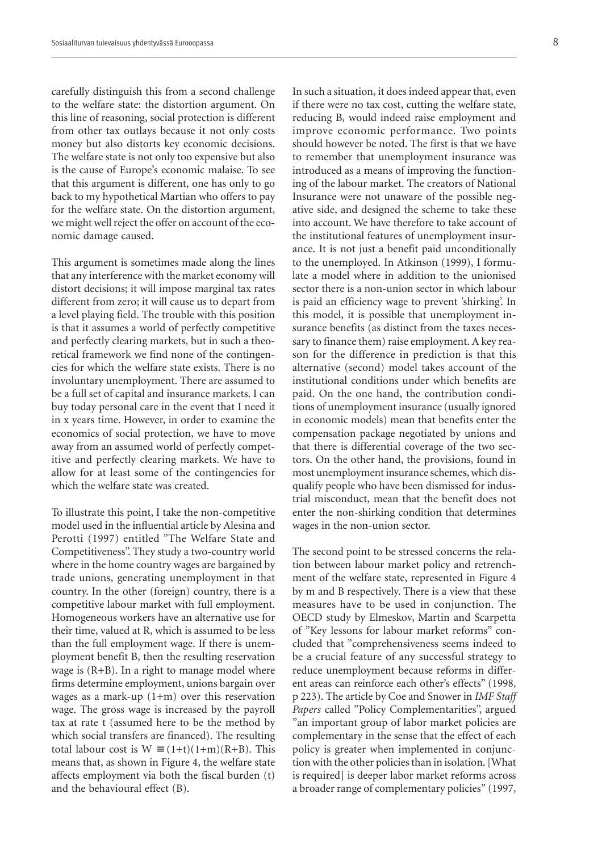carefully distinguish this from a second challenge to the welfare state: the distortion argument. On this line of reasoning, social protection is different from other tax outlays because it not only costs money but also distorts key economic decisions. The welfare state is not only too expensive but also is the cause of Europe's economic malaise. To see that this argument is different, one has only to go back to my hypothetical Martian who offers to pay for the welfare state. On the distortion argument, we might well reject the offer on account of the economic damage caused.

This argument is sometimes made along the lines that any interference with the market economy will distort decisions; it will impose marginal tax rates different from zero; it will cause us to depart from a level playing field. The trouble with this position is that it assumes a world of perfectly competitive and perfectly clearing markets, but in such a theoretical framework we find none of the contingencies for which the welfare state exists. There is no involuntary unemployment. There are assumed to be a full set of capital and insurance markets. I can buy today personal care in the event that I need it in x years time. However, in order to examine the economics of social protection, we have to move away from an assumed world of perfectly competitive and perfectly clearing markets. We have to allow for at least some of the contingencies for which the welfare state was created.

To illustrate this point, I take the non-competitive model used in the influential article by Alesina and Perotti (1997) entitled "The Welfare State and Competitiveness". They study a two-country world where in the home country wages are bargained by trade unions, generating unemployment in that country. In the other (foreign) country, there is a competitive labour market with full employment. Homogeneous workers have an alternative use for their time, valued at R, which is assumed to be less than the full employment wage. If there is unemployment benefit B, then the resulting reservation wage is  $(R+B)$ . In a right to manage model where firms determine employment, unions bargain over wages as a mark-up (1+m) over this reservation wage. The gross wage is increased by the payroll tax at rate t (assumed here to be the method by which social transfers are financed). The resulting total labour cost is  $W = (1+t)(1+m)(R+B)$ . This means that, as shown in Figure 4, the welfare state affects employment via both the fiscal burden (t) and the behavioural effect (B).

In such a situation, it does indeed appear that, even if there were no tax cost, cutting the welfare state, reducing B, would indeed raise employment and improve economic performance. Two points should however be noted. The first is that we have to remember that unemployment insurance was introduced as a means of improving the functioning of the labour market. The creators of National Insurance were not unaware of the possible negative side, and designed the scheme to take these into account. We have therefore to take account of the institutional features of unemployment insurance. It is not just a benefit paid unconditionally to the unemployed. In Atkinson (1999), I formulate a model where in addition to the unionised sector there is a non-union sector in which labour is paid an efficiency wage to prevent 'shirking'. In this model, it is possible that unemployment insurance benefits (as distinct from the taxes necessary to finance them) raise employment. A key reason for the difference in prediction is that this alternative (second) model takes account of the institutional conditions under which benefits are paid. On the one hand, the contribution conditions of unemployment insurance (usually ignored in economic models) mean that benefits enter the compensation package negotiated by unions and that there is differential coverage of the two sectors. On the other hand, the provisions, found in most unemployment insurance schemes, which disqualify people who have been dismissed for industrial misconduct, mean that the benefit does not enter the non-shirking condition that determines wages in the non-union sector.

The second point to be stressed concerns the relation between labour market policy and retrenchment of the welfare state, represented in Figure 4 by m and B respectively. There is a view that these measures have to be used in conjunction. The OECD study by Elmeskov, Martin and Scarpetta of "Key lessons for labour market reforms" concluded that "comprehensiveness seems indeed to be a crucial feature of any successful strategy to reduce unemployment because reforms in different areas can reinforce each other's effects" (1998, p 223). The article by Coe and Snower in *IMF Staff Papers* called "Policy Complementarities", argued "an important group of labor market policies are complementary in the sense that the effect of each policy is greater when implemented in conjunction with the other policies than in isolation. [What is required] is deeper labor market reforms across a broader range of complementary policies" (1997,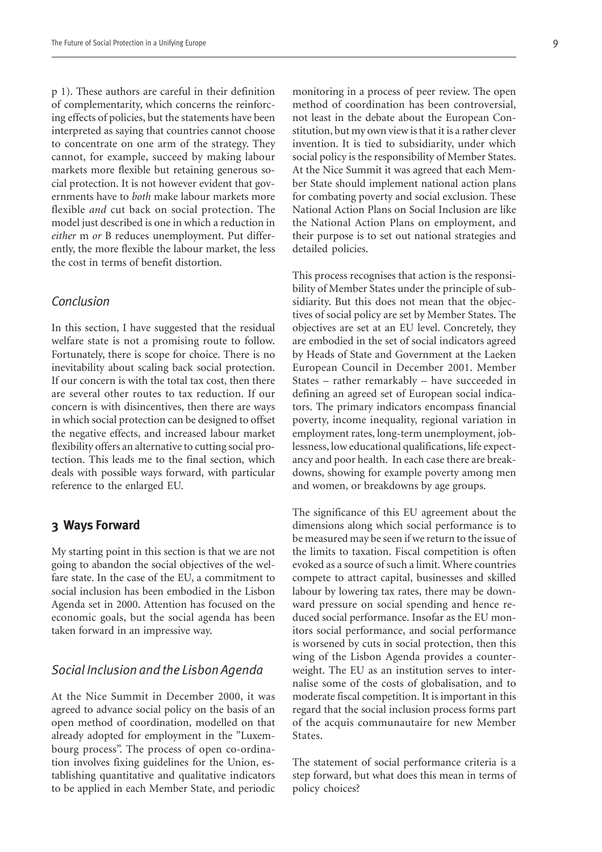p 1). These authors are careful in their definition of complementarity, which concerns the reinforcing effects of policies, but the statements have been interpreted as saying that countries cannot choose to concentrate on one arm of the strategy. They cannot, for example, succeed by making labour markets more flexible but retaining generous social protection. It is not however evident that governments have to *both* make labour markets more flexible *and* cut back on social protection. The model just described is one in which a reduction in *either* m *or* B reduces unemployment. Put differently, the more flexible the labour market, the less the cost in terms of benefit distortion.

#### *Conclusion*

In this section, I have suggested that the residual welfare state is not a promising route to follow. Fortunately, there is scope for choice. There is no inevitability about scaling back social protection. If our concern is with the total tax cost, then there are several other routes to tax reduction. If our concern is with disincentives, then there are ways in which social protection can be designed to offset the negative effects, and increased labour market flexibility offers an alternative to cutting social protection. This leads me to the final section, which deals with possible ways forward, with particular reference to the enlarged EU.

#### **3 Ways Forward**

My starting point in this section is that we are not going to abandon the social objectives of the welfare state. In the case of the EU, a commitment to social inclusion has been embodied in the Lisbon Agenda set in 2000. Attention has focused on the economic goals, but the social agenda has been taken forward in an impressive way.

#### *Social Inclusion and the Lisbon Agenda*

At the Nice Summit in December 2000, it was agreed to advance social policy on the basis of an open method of coordination, modelled on that already adopted for employment in the "Luxembourg process". The process of open co-ordination involves fixing guidelines for the Union, establishing quantitative and qualitative indicators to be applied in each Member State, and periodic

monitoring in a process of peer review. The open method of coordination has been controversial, not least in the debate about the European Constitution, but my own view is that it is a rather clever invention. It is tied to subsidiarity, under which social policy is the responsibility of Member States. At the Nice Summit it was agreed that each Member State should implement national action plans for combating poverty and social exclusion. These National Action Plans on Social Inclusion are like the National Action Plans on employment, and their purpose is to set out national strategies and detailed policies.

This process recognises that action is the responsibility of Member States under the principle of subsidiarity. But this does not mean that the objectives of social policy are set by Member States. The objectives are set at an EU level. Concretely, they are embodied in the set of social indicators agreed by Heads of State and Government at the Laeken European Council in December 2001. Member States – rather remarkably – have succeeded in defining an agreed set of European social indicators. The primary indicators encompass financial poverty, income inequality, regional variation in employment rates, long-term unemployment, joblessness, low educational qualifications, life expectancy and poor health. In each case there are breakdowns, showing for example poverty among men and women, or breakdowns by age groups.

The significance of this EU agreement about the dimensions along which social performance is to be measured may be seen if we return to the issue of the limits to taxation. Fiscal competition is often evoked as a source of such a limit. Where countries compete to attract capital, businesses and skilled labour by lowering tax rates, there may be downward pressure on social spending and hence reduced social performance. Insofar as the EU monitors social performance, and social performance is worsened by cuts in social protection, then this wing of the Lisbon Agenda provides a counterweight. The EU as an institution serves to internalise some of the costs of globalisation, and to moderate fiscal competition. It is important in this regard that the social inclusion process forms part of the acquis communautaire for new Member States.

The statement of social performance criteria is a step forward, but what does this mean in terms of policy choices?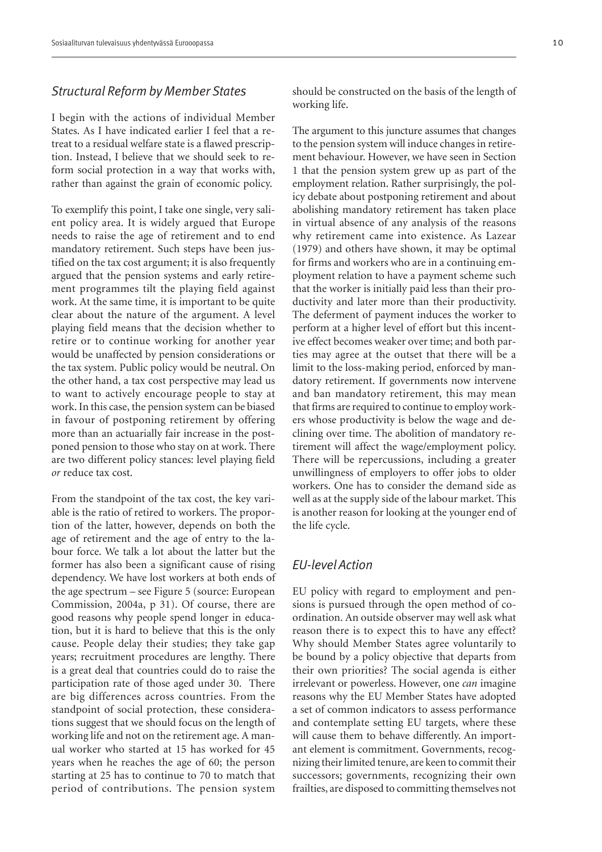#### *Structural Reform by Member States*

I begin with the actions of individual Member States. As I have indicated earlier I feel that a retreat to a residual welfare state is a flawed prescription. Instead, I believe that we should seek to reform social protection in a way that works with, rather than against the grain of economic policy.

To exemplify this point, I take one single, very salient policy area. It is widely argued that Europe needs to raise the age of retirement and to end mandatory retirement. Such steps have been justified on the tax cost argument; it is also frequently argued that the pension systems and early retirement programmes tilt the playing field against work. At the same time, it is important to be quite clear about the nature of the argument. A level playing field means that the decision whether to retire or to continue working for another year would be unaffected by pension considerations or the tax system. Public policy would be neutral. On the other hand, a tax cost perspective may lead us to want to actively encourage people to stay at work. In this case, the pension system can be biased in favour of postponing retirement by offering more than an actuarially fair increase in the postponed pension to those who stay on at work. There are two different policy stances: level playing field *or* reduce tax cost.

From the standpoint of the tax cost, the key variable is the ratio of retired to workers. The proportion of the latter, however, depends on both the age of retirement and the age of entry to the labour force. We talk a lot about the latter but the former has also been a significant cause of rising dependency. We have lost workers at both ends of the age spectrum – see Figure 5 (source: European Commission, 2004a, p 31). Of course, there are good reasons why people spend longer in education, but it is hard to believe that this is the only cause. People delay their studies; they take gap years; recruitment procedures are lengthy. There is a great deal that countries could do to raise the participation rate of those aged under 30. There are big differences across countries. From the standpoint of social protection, these considerations suggest that we should focus on the length of working life and not on the retirement age. A manual worker who started at 15 has worked for 45 years when he reaches the age of 60; the person starting at 25 has to continue to 70 to match that period of contributions. The pension system

should be constructed on the basis of the length of working life.

The argument to this juncture assumes that changes to the pension system will induce changes in retirement behaviour. However, we have seen in Section 1 that the pension system grew up as part of the employment relation. Rather surprisingly, the policy debate about postponing retirement and about abolishing mandatory retirement has taken place in virtual absence of any analysis of the reasons why retirement came into existence. As Lazear (1979) and others have shown, it may be optimal for firms and workers who are in a continuing employment relation to have a payment scheme such that the worker is initially paid less than their productivity and later more than their productivity. The deferment of payment induces the worker to perform at a higher level of effort but this incentive effect becomes weaker over time; and both parties may agree at the outset that there will be a limit to the loss-making period, enforced by mandatory retirement. If governments now intervene and ban mandatory retirement, this may mean that firms are required to continue to employ workers whose productivity is below the wage and declining over time. The abolition of mandatory retirement will affect the wage/employment policy. There will be repercussions, including a greater unwillingness of employers to offer jobs to older workers. One has to consider the demand side as well as at the supply side of the labour market. This is another reason for looking at the younger end of the life cycle.

#### *EU-level Action*

EU policy with regard to employment and pensions is pursued through the open method of coordination. An outside observer may well ask what reason there is to expect this to have any effect? Why should Member States agree voluntarily to be bound by a policy objective that departs from their own priorities? The social agenda is either irrelevant or powerless. However, one *can* imagine reasons why the EU Member States have adopted a set of common indicators to assess performance and contemplate setting EU targets, where these will cause them to behave differently. An important element is commitment. Governments, recognizing their limited tenure, are keen to commit their successors; governments, recognizing their own frailties, are disposed to committing themselves not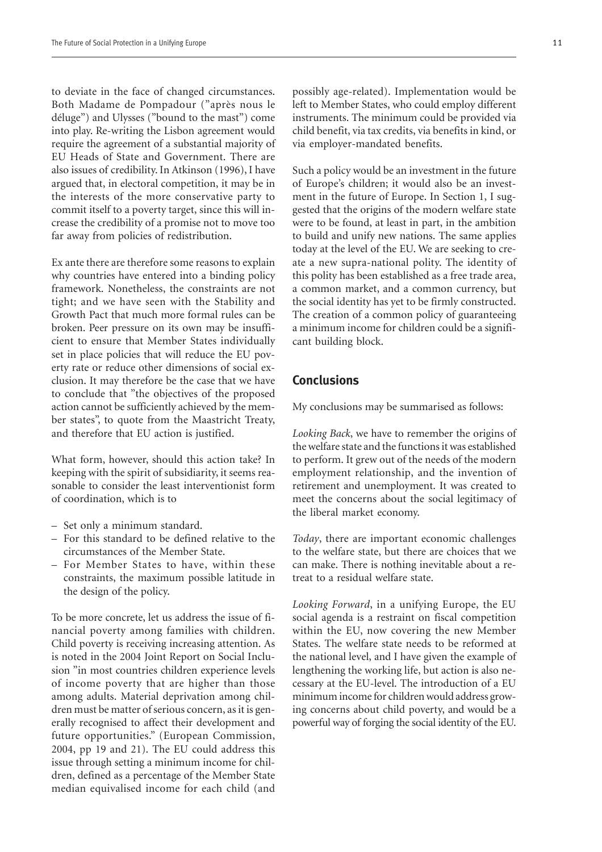to deviate in the face of changed circumstances. Both Madame de Pompadour ("après nous le déluge") and Ulysses ("bound to the mast") come into play. Re-writing the Lisbon agreement would require the agreement of a substantial majority of EU Heads of State and Government. There are also issues of credibility. In Atkinson (1996), I have argued that, in electoral competition, it may be in the interests of the more conservative party to commit itself to a poverty target, since this will increase the credibility of a promise not to move too far away from policies of redistribution.

Ex ante there are therefore some reasons to explain why countries have entered into a binding policy framework. Nonetheless, the constraints are not tight; and we have seen with the Stability and Growth Pact that much more formal rules can be broken. Peer pressure on its own may be insufficient to ensure that Member States individually set in place policies that will reduce the EU poverty rate or reduce other dimensions of social exclusion. It may therefore be the case that we have to conclude that "the objectives of the proposed action cannot be sufficiently achieved by the member states", to quote from the Maastricht Treaty, and therefore that EU action is justified.

What form, however, should this action take? In keeping with the spirit of subsidiarity, it seems reasonable to consider the least interventionist form of coordination, which is to

- Set only a minimum standard.
- For this standard to be defined relative to the circumstances of the Member State.
- For Member States to have, within these constraints, the maximum possible latitude in the design of the policy.

To be more concrete, let us address the issue of financial poverty among families with children. Child poverty is receiving increasing attention. As is noted in the 2004 Joint Report on Social Inclusion "in most countries children experience levels of income poverty that are higher than those among adults. Material deprivation among children must be matter of serious concern, as it is generally recognised to affect their development and future opportunities." (European Commission, 2004, pp 19 and 21). The EU could address this issue through setting a minimum income for children, defined as a percentage of the Member State median equivalised income for each child (and

possibly age-related). Implementation would be left to Member States, who could employ different instruments. The minimum could be provided via child benefit, via tax credits, via benefits in kind, or via employer-mandated benefits.

Such a policy would be an investment in the future of Europe's children; it would also be an investment in the future of Europe. In Section 1, I suggested that the origins of the modern welfare state were to be found, at least in part, in the ambition to build and unify new nations. The same applies today at the level of the EU. We are seeking to create a new supra-national polity. The identity of this polity has been established as a free trade area, a common market, and a common currency, but the social identity has yet to be firmly constructed. The creation of a common policy of guaranteeing a minimum income for children could be a significant building block.

#### **Conclusions**

My conclusions may be summarised as follows:

*Looking Back*, we have to remember the origins of the welfare state and the functions it was established to perform. It grew out of the needs of the modern employment relationship, and the invention of retirement and unemployment. It was created to meet the concerns about the social legitimacy of the liberal market economy.

*Today*, there are important economic challenges to the welfare state, but there are choices that we can make. There is nothing inevitable about a retreat to a residual welfare state.

*Looking Forward*, in a unifying Europe, the EU social agenda is a restraint on fiscal competition within the EU, now covering the new Member States. The welfare state needs to be reformed at the national level, and I have given the example of lengthening the working life, but action is also necessary at the EU-level. The introduction of a EU minimum income for children would address growing concerns about child poverty, and would be a powerful way of forging the social identity of the EU.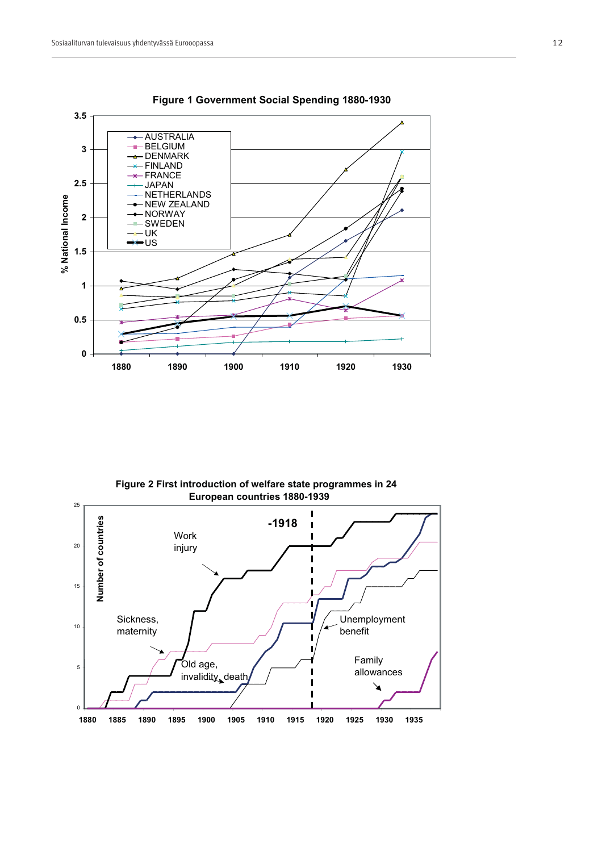

#### **Figure 1 Government Social Spending 1880-1930**

**Figure 2 First introduction of welfare state programmes in 24 European countries 1880-1939**

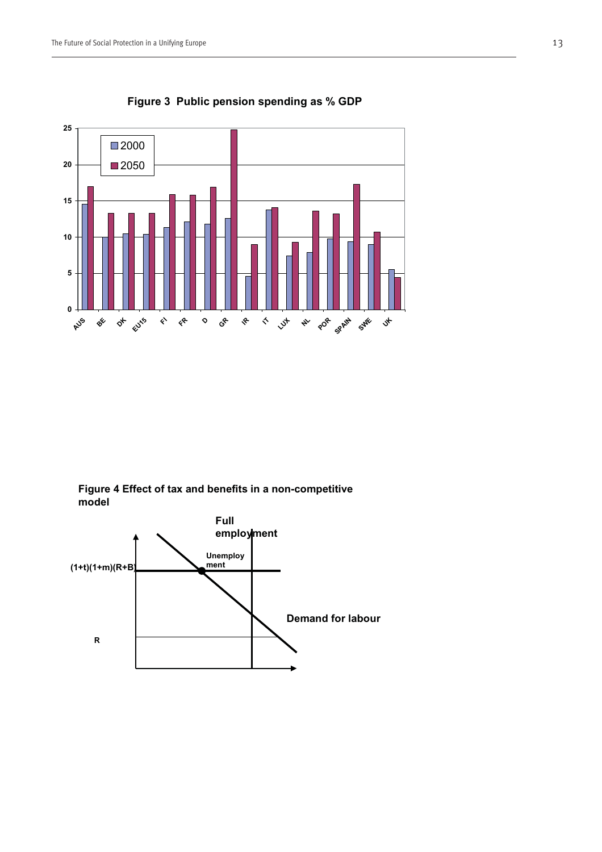

**Figure 3 Public pension spending as % GDP**

**Figure 4 Effect of tax and benefits in a non-competitive model**

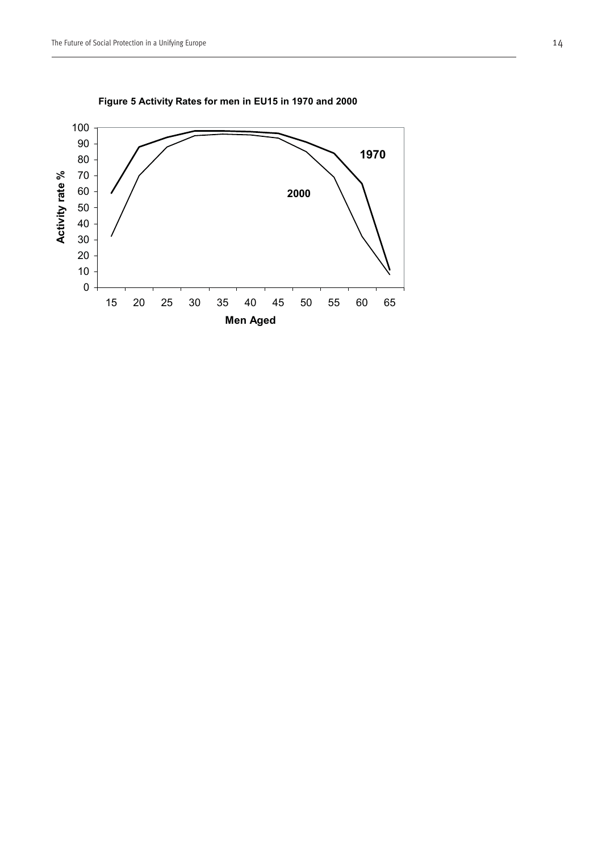

**Figure 5 Activity Rates for men in EU15 in 1970 and 2000**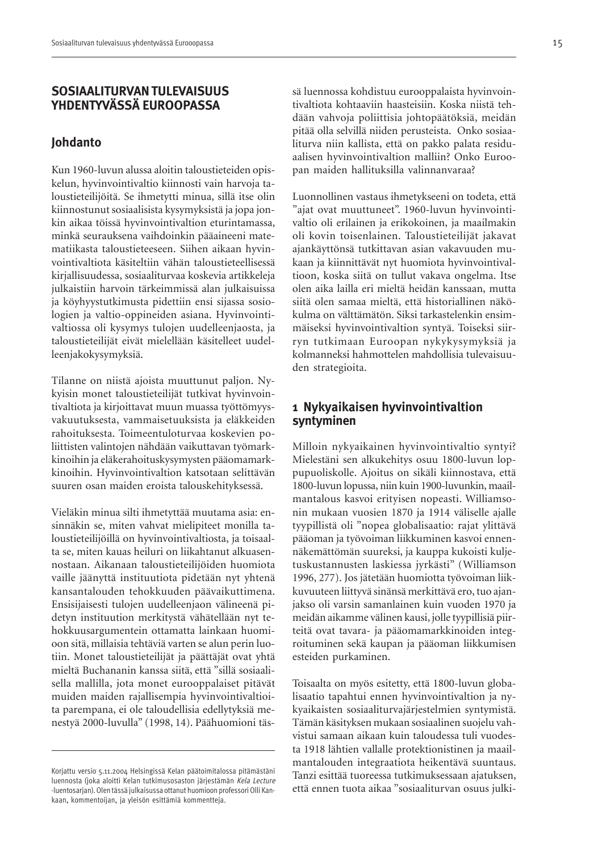#### **SOSIAALITURVAN TULEVAISUUS YHDENTYVÄSSÄ EUROOPASSA**

#### **Johdanto**

Kun 1960-luvun alussa aloitin taloustieteiden opiskelun, hyvinvointivaltio kiinnosti vain harvoja taloustieteilijöitä. Se ihmetytti minua, sillä itse olin kiinnostunut sosiaalisista kysymyksistä ja jopa jonkin aikaa töissä hyvinvointivaltion eturintamassa, minkä seurauksena vaihdoinkin pääaineeni matematiikasta taloustieteeseen. Siihen aikaan hyvinvointivaltiota käsiteltiin vähän taloustieteellisessä kirjallisuudessa, sosiaaliturvaa koskevia artikkeleja julkaistiin harvoin tärkeimmissä alan julkaisuissa ja köyhyystutkimusta pidettiin ensi sijassa sosiologien ja valtio-oppineiden asiana. Hyvinvointivaltiossa oli kysymys tulojen uudelleenjaosta, ja taloustieteilijät eivät mielellään käsitelleet uudelleenjakokysymyksiä.

Tilanne on niistä ajoista muuttunut paljon. Nykyisin monet taloustieteilijät tutkivat hyvinvointivaltiota ja kirjoittavat muun muassa työttömyysvakuutuksesta, vammaisetuuksista ja eläkkeiden rahoituksesta. Toimeentuloturvaa koskevien poliittisten valintojen nähdään vaikuttavan työmarkkinoihin ja eläkerahoituskysymysten pääomamarkkinoihin. Hyvinvointivaltion katsotaan selittävän suuren osan maiden eroista talouskehityksessä.

Vieläkin minua silti ihmetyttää muutama asia: ensinnäkin se, miten vahvat mielipiteet monilla taloustieteilijöillä on hyvinvointivaltiosta, ja toisaalta se, miten kauas heiluri on liikahtanut alkuasennostaan. Aikanaan taloustieteilijöiden huomiota vaille jäänyttä instituutiota pidetään nyt yhtenä kansantalouden tehokkuuden päävaikuttimena. Ensisijaisesti tulojen uudelleenjaon välineenä pidetyn instituution merkitystä vähätellään nyt tehokkuusargumentein ottamatta lainkaan huomioon sitä, millaisia tehtäviä varten se alun perin luotiin. Monet taloustieteilijät ja päättäjät ovat yhtä mieltä Buchananin kanssa siitä, että "sillä sosiaalisella mallilla, jota monet eurooppalaiset pitävät muiden maiden rajallisempia hyvinvointivaltioita parempana, ei ole taloudellisia edellytyksiä menestyä 2000-luvulla" (1998, 14). Päähuomioni täs-

sä luennossa kohdistuu eurooppalaista hyvinvointivaltiota kohtaaviin haasteisiin. Koska niistä tehdään vahvoja poliittisia johtopäätöksiä, meidän pitää olla selvillä niiden perusteista. Onko sosiaaliturva niin kallista, että on pakko palata residuaalisen hyvinvointivaltion malliin? Onko Euroopan maiden hallituksilla valinnanvaraa?

Luonnollinen vastaus ihmetykseeni on todeta, että "ajat ovat muuttuneet". 1960-luvun hyvinvointivaltio oli erilainen ja erikokoinen, ja maailmakin oli kovin toisenlainen. Taloustieteilijät jakavat ajankäyttönsä tutkittavan asian vakavuuden mukaan ja kiinnittävät nyt huomiota hyvinvointivaltioon, koska siitä on tullut vakava ongelma. Itse olen aika lailla eri mieltä heidän kanssaan, mutta siitä olen samaa mieltä, että historiallinen näkökulma on välttämätön. Siksi tarkastelenkin ensimmäiseksi hyvinvointivaltion syntyä. Toiseksi siirryn tutkimaan Euroopan nykykysymyksiä ja kolmanneksi hahmottelen mahdollisia tulevaisuuden strategioita.

## **1 Nykyaikaisen hyvinvointivaltion syntyminen**

Milloin nykyaikainen hyvinvointivaltio syntyi? Mielestäni sen alkukehitys osuu 1800-luvun loppupuoliskolle. Ajoitus on sikäli kiinnostava, että 1800-luvun lopussa, niin kuin 1900-luvunkin, maailmantalous kasvoi erityisen nopeasti. Williamsonin mukaan vuosien 1870 ja 1914 väliselle ajalle tyypillistä oli "nopea globalisaatio: rajat ylittävä pääoman ja työvoiman liikkuminen kasvoi ennennäkemättömän suureksi, ja kauppa kukoisti kuljetuskustannusten laskiessa jyrkästi" (Williamson 1996, 277). Jos jätetään huomiotta työvoiman liikkuvuuteen liittyvä sinänsä merkittävä ero, tuo ajanjakso oli varsin samanlainen kuin vuoden 1970 ja meidän aikamme välinen kausi, jolle tyypillisiä piirteitä ovat tavara- ja pääomamarkkinoiden integroituminen sekä kaupan ja pääoman liikkumisen esteiden purkaminen.

Toisaalta on myös esitetty, että 1800-luvun globalisaatio tapahtui ennen hyvinvointivaltion ja nykyaikaisten sosiaaliturvajärjestelmien syntymistä. Tämän käsityksen mukaan sosiaalinen suojelu vahvistui samaan aikaan kuin taloudessa tuli vuodesta 1918 lähtien vallalle protektionistinen ja maailmantalouden integraatiota heikentävä suuntaus. Tanzi esittää tuoreessa tutkimuksessaan ajatuksen, että ennen tuota aikaa "sosiaaliturvan osuus julki-

Korjattu versio 5.11.2004 Helsingissä Kelan päätoimitalossa pitämästäni luennosta (joka aloitti Kelan tutkimusosaston järjestämän Kela Lecture -luentosarjan). Olen tässä julkaisussa ottanut huomioon professori Olli Kankaan, kommentoijan, ja yleisön esittämiä kommentteja.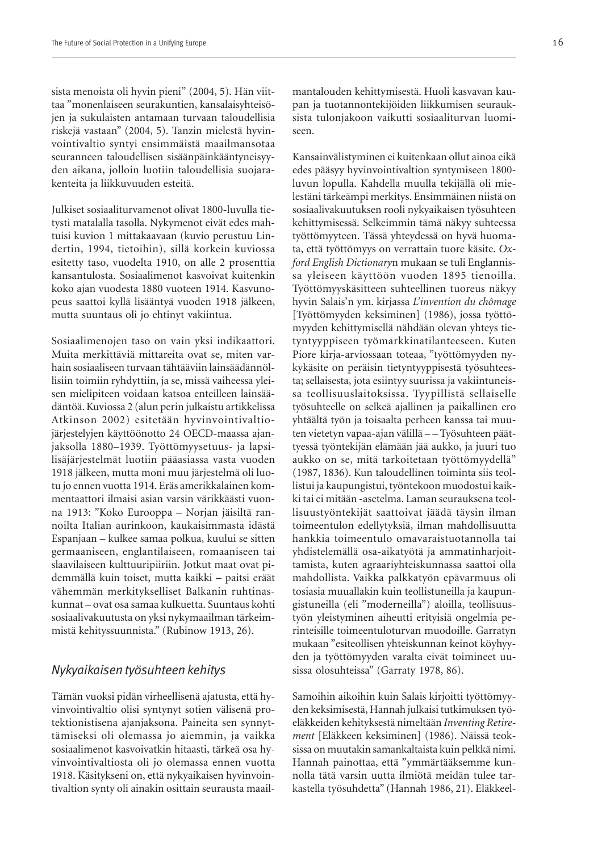sista menoista oli hyvin pieni" (2004, 5). Hän viittaa "monenlaiseen seurakuntien, kansalaisyhteisöjen ja sukulaisten antamaan turvaan taloudellisia riskejä vastaan" (2004, 5). Tanzin mielestä hyvinvointivaltio syntyi ensimmäistä maailmansotaa seuranneen taloudellisen sisäänpäinkääntyneisyyden aikana, jolloin luotiin taloudellisia suojarakenteita ja liikkuvuuden esteitä.

Julkiset sosiaaliturvamenot olivat 1800-luvulla tietysti matalalla tasolla. Nykymenot eivät edes mahtuisi kuvion 1 mittakaavaan (kuvio perustuu Lindertin, 1994, tietoihin), sillä korkein kuviossa esitetty taso, vuodelta 1910, on alle 2 prosenttia kansantulosta. Sosiaalimenot kasvoivat kuitenkin koko ajan vuodesta 1880 vuoteen 1914. Kasvunopeus saattoi kyllä lisääntyä vuoden 1918 jälkeen, mutta suuntaus oli jo ehtinyt vakiintua.

Sosiaalimenojen taso on vain yksi indikaattori. Muita merkittäviä mittareita ovat se, miten varhain sosiaaliseen turvaan tähtääviin lainsäädännöllisiin toimiin ryhdyttiin, ja se, missä vaiheessa yleisen mielipiteen voidaan katsoa enteilleen lainsäädäntöä. Kuviossa 2 (alun perin julkaistu artikkelissa Atkinson 2002) esitetään hyvinvointivaltiojärjestelyjen käyttöönotto 24 OECD-maassa ajanjaksolla 1880–1939. Työttömyysetuus- ja lapsilisäjärjestelmät luotiin pääasiassa vasta vuoden 1918 jälkeen, mutta moni muu järjestelmä oli luotu jo ennen vuotta 1914. Eräs amerikkalainen kommentaattori ilmaisi asian varsin värikkäästi vuonna 1913: "Koko Eurooppa – Norjan jäisiltä rannoilta Italian aurinkoon, kaukaisimmasta idästä Espanjaan – kulkee samaa polkua, kuului se sitten germaaniseen, englantilaiseen, romaaniseen tai slaavilaiseen kulttuuripiiriin. Jotkut maat ovat pidemmällä kuin toiset, mutta kaikki – paitsi eräät vähemmän merkitykselliset Balkanin ruhtinaskunnat – ovat osa samaa kulkuetta. Suuntaus kohti sosiaalivakuutusta on yksi nykymaailman tärkeimmistä kehityssuunnista." (Rubinow 1913, 26).

#### *Nykyaikaisen työsuhteen kehitys*

Tämän vuoksi pidän virheellisenä ajatusta, että hyvinvointivaltio olisi syntynyt sotien välisenä protektionistisena ajanjaksona. Paineita sen synnyttämiseksi oli olemassa jo aiemmin, ja vaikka sosiaalimenot kasvoivatkin hitaasti, tärkeä osa hyvinvointivaltiosta oli jo olemassa ennen vuotta 1918. Käsitykseni on, että nykyaikaisen hyvinvointivaltion synty oli ainakin osittain seurausta maail-

mantalouden kehittymisestä. Huoli kasvavan kaupan ja tuotannontekijöiden liikkumisen seurauksista tulonjakoon vaikutti sosiaaliturvan luomiseen.

Kansainvälistyminen ei kuitenkaan ollut ainoa eikä edes pääsyy hyvinvointivaltion syntymiseen 1800 luvun lopulla. Kahdella muulla tekijällä oli mielestäni tärkeämpi merkitys. Ensimmäinen niistä on sosiaalivakuutuksen rooli nykyaikaisen työsuhteen kehittymisessä. Selkeimmin tämä näkyy suhteessa työttömyyteen. Tässä yhteydessä on hyvä huomata, että työttömyys on verrattain tuore käsite. *Oxford English Dictionary*n mukaan se tuli Englannissa yleiseen käyttöön vuoden 1895 tienoilla. Työttömyyskäsitteen suhteellinen tuoreus näkyy hyvin Salais'n ym. kirjassa *L'invention du chômage* [Työttömyyden keksiminen] (1986), jossa työttömyyden kehittymisellä nähdään olevan yhteys tietyntyyppiseen työmarkkinatilanteeseen. Kuten Piore kirja-arviossaan toteaa, "työttömyyden nykykäsite on peräisin tietyntyyppisestä työsuhteesta; sellaisesta, jota esiintyy suurissa ja vakiintuneissa teollisuuslaitoksissa. Tyypillistä sellaiselle työsuhteelle on selkeä ajallinen ja paikallinen ero yhtäältä työn ja toisaalta perheen kanssa tai muuten vietetyn vapaa-ajan välillä – – Työsuhteen päättyessä työntekijän elämään jää aukko, ja juuri tuo aukko on se, mitä tarkoitetaan työttömyydellä" (1987, 1836). Kun taloudellinen toiminta siis teollistui ja kaupungistui, työntekoon muodostui kaikki tai ei mitään -asetelma. Laman seurauksena teollisuustyöntekijät saattoivat jäädä täysin ilman toimeentulon edellytyksiä, ilman mahdollisuutta hankkia toimeentulo omavaraistuotannolla tai yhdistelemällä osa-aikatyötä ja ammatinharjoittamista, kuten agraariyhteiskunnassa saattoi olla mahdollista. Vaikka palkkatyön epävarmuus oli tosiasia muuallakin kuin teollistuneilla ja kaupungistuneilla (eli "moderneilla") aloilla, teollisuustyön yleistyminen aiheutti erityisiä ongelmia perinteisille toimeentuloturvan muodoille. Garratyn mukaan "esiteollisen yhteiskunnan keinot köyhyyden ja työttömyyden varalta eivät toimineet uusissa olosuhteissa" (Garraty 1978, 86).

Samoihin aikoihin kuin Salais kirjoitti työttömyyden keksimisestä, Hannah julkaisi tutkimuksen työeläkkeiden kehityksestä nimeltään *Inventing Retirement* [Eläkkeen keksiminen] (1986). Näissä teoksissa on muutakin samankaltaista kuin pelkkä nimi. Hannah painottaa, että "ymmärtääksemme kunnolla tätä varsin uutta ilmiötä meidän tulee tarkastella työsuhdetta" (Hannah 1986, 21). Eläkkeel-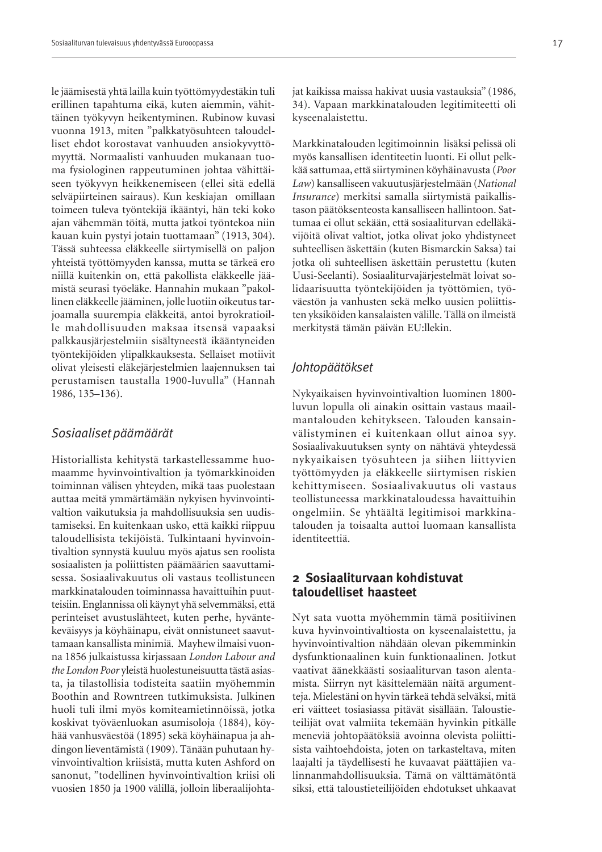le jäämisestä yhtä lailla kuin työttömyydestäkin tuli erillinen tapahtuma eikä, kuten aiemmin, vähittäinen työkyvyn heikentyminen. Rubinow kuvasi vuonna 1913, miten "palkkatyösuhteen taloudelliset ehdot korostavat vanhuuden ansiokyvyttömyyttä. Normaalisti vanhuuden mukanaan tuoma fysiologinen rappeutuminen johtaa vähittäiseen työkyvyn heikkenemiseen (ellei sitä edellä selväpiirteinen sairaus). Kun keskiajan omillaan toimeen tuleva työntekijä ikääntyi, hän teki koko ajan vähemmän töitä, mutta jatkoi työntekoa niin kauan kuin pystyi jotain tuottamaan" (1913, 304). Tässä suhteessa eläkkeelle siirtymisellä on paljon yhteistä työttömyyden kanssa, mutta se tärkeä ero niillä kuitenkin on, että pakollista eläkkeelle jäämistä seurasi työeläke. Hannahin mukaan "pakollinen eläkkeelle jääminen, jolle luotiin oikeutus tarjoamalla suurempia eläkkeitä, antoi byrokratioille mahdollisuuden maksaa itsensä vapaaksi palkkausjärjestelmiin sisältyneestä ikääntyneiden työntekijöiden ylipalkkauksesta. Sellaiset motiivit olivat yleisesti eläkejärjestelmien laajennuksen tai perustamisen taustalla 1900-luvulla" (Hannah 1986, 135–136).

#### *Sosiaaliset päämäärät*

Historiallista kehitystä tarkastellessamme huomaamme hyvinvointivaltion ja työmarkkinoiden toiminnan välisen yhteyden, mikä taas puolestaan auttaa meitä ymmärtämään nykyisen hyvinvointivaltion vaikutuksia ja mahdollisuuksia sen uudistamiseksi. En kuitenkaan usko, että kaikki riippuu taloudellisista tekijöistä. Tulkintaani hyvinvointivaltion synnystä kuuluu myös ajatus sen roolista sosiaalisten ja poliittisten päämäärien saavuttamisessa. Sosiaalivakuutus oli vastaus teollistuneen markkinatalouden toiminnassa havaittuihin puutteisiin. Englannissa oli käynyt yhä selvemmäksi, että perinteiset avustuslähteet, kuten perhe, hyväntekeväisyys ja köyhäinapu, eivät onnistuneet saavuttamaan kansallista minimiä. Mayhew ilmaisi vuonna 1856 julkaistussa kirjassaan *London Labour and the London Poor* yleistä huolestuneisuutta tästä asiasta, ja tilastollisia todisteita saatiin myöhemmin Boothin and Rowntreen tutkimuksista. Julkinen huoli tuli ilmi myös komiteamietinnöissä, jotka koskivat työväenluokan asumisoloja (1884), köyhää vanhusväestöä (1895) sekä köyhäinapua ja ahdingon lieventämistä (1909). Tänään puhutaan hyvinvointivaltion kriisistä, mutta kuten Ashford on sanonut, "todellinen hyvinvointivaltion kriisi oli vuosien 1850 ja 1900 välillä, jolloin liberaalijohtajat kaikissa maissa hakivat uusia vastauksia" (1986, 34). Vapaan markkinatalouden legitimiteetti oli kyseenalaistettu.

Markkinatalouden legitimoinnin lisäksi pelissä oli myös kansallisen identiteetin luonti. Ei ollut pelkkää sattumaa, että siirtyminen köyhäinavusta (*Poor Law*) kansalliseen vakuutusjärjestelmään (*National Insurance*) merkitsi samalla siirtymistä paikallistason päätöksenteosta kansalliseen hallintoon. Sattumaa ei ollut sekään, että sosiaaliturvan edelläkävijöitä olivat valtiot, jotka olivat joko yhdistyneet suhteellisen äskettäin (kuten Bismarckin Saksa) tai jotka oli suhteellisen äskettäin perustettu (kuten Uusi-Seelanti). Sosiaaliturvajärjestelmät loivat solidaarisuutta työntekijöiden ja työttömien, työväestön ja vanhusten sekä melko uusien poliittisten yksiköiden kansalaisten välille. Tällä on ilmeistä merkitystä tämän päivän EU:llekin.

#### *Johtopäätökset*

Nykyaikaisen hyvinvointivaltion luominen 1800 luvun lopulla oli ainakin osittain vastaus maailmantalouden kehitykseen. Talouden kansainvälistyminen ei kuitenkaan ollut ainoa syy. Sosiaalivakuutuksen synty on nähtävä yhteydessä nykyaikaisen työsuhteen ja siihen liittyvien työttömyyden ja eläkkeelle siirtymisen riskien kehittymiseen. Sosiaalivakuutus oli vastaus teollistuneessa markkinataloudessa havaittuihin ongelmiin. Se yhtäältä legitimisoi markkinatalouden ja toisaalta auttoi luomaan kansallista identiteettiä.

## **2 Sosiaaliturvaan kohdistuvat taloudelliset haasteet**

Nyt sata vuotta myöhemmin tämä positiivinen kuva hyvinvointivaltiosta on kyseenalaistettu, ja hyvinvointivaltion nähdään olevan pikemminkin dysfunktionaalinen kuin funktionaalinen. Jotkut vaativat äänekkäästi sosiaaliturvan tason alentamista. Siirryn nyt käsittelemään näitä argumentteja. Mielestäni on hyvin tärkeä tehdä selväksi, mitä eri väitteet tosiasiassa pitävät sisällään. Taloustieteilijät ovat valmiita tekemään hyvinkin pitkälle meneviä johtopäätöksiä avoinna olevista poliittisista vaihtoehdoista, joten on tarkasteltava, miten laajalti ja täydellisesti he kuvaavat päättäjien valinnanmahdollisuuksia. Tämä on välttämätöntä siksi, että taloustieteilijöiden ehdotukset uhkaavat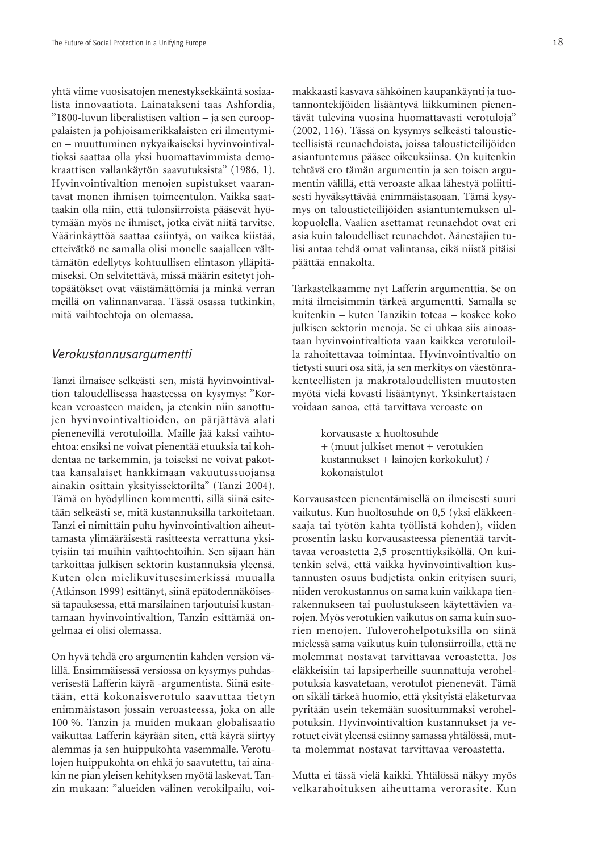yhtä viime vuosisatojen menestyksekkäintä sosiaalista innovaatiota. Lainatakseni taas Ashfordia, "1800-luvun liberalistisen valtion – ja sen eurooppalaisten ja pohjoisamerikkalaisten eri ilmentymien – muuttuminen nykyaikaiseksi hyvinvointivaltioksi saattaa olla yksi huomattavimmista demokraattisen vallankäytön saavutuksista" (1986, 1). Hyvinvointivaltion menojen supistukset vaarantavat monen ihmisen toimeentulon. Vaikka saattaakin olla niin, että tulonsiirroista pääsevät hyötymään myös ne ihmiset, jotka eivät niitä tarvitse. Väärinkäyttöä saattaa esiintyä, on vaikea kiistää, etteivätkö ne samalla olisi monelle saajalleen välttämätön edellytys kohtuullisen elintason ylläpitämiseksi. On selvitettävä, missä määrin esitetyt johtopäätökset ovat väistämättömiä ja minkä verran meillä on valinnanvaraa. Tässä osassa tutkinkin, mitä vaihtoehtoja on olemassa.

#### *Verokustannusargumentti*

Tanzi ilmaisee selkeästi sen, mistä hyvinvointivaltion taloudellisessa haasteessa on kysymys: "Korkean veroasteen maiden, ja etenkin niin sanottujen hyvinvointivaltioiden, on pärjättävä alati pienenevillä verotuloilla. Maille jää kaksi vaihtoehtoa: ensiksi ne voivat pienentää etuuksia tai kohdentaa ne tarkemmin, ja toiseksi ne voivat pakottaa kansalaiset hankkimaan vakuutussuojansa ainakin osittain yksityissektorilta" (Tanzi 2004). Tämä on hyödyllinen kommentti, sillä siinä esitetään selkeästi se, mitä kustannuksilla tarkoitetaan. Tanzi ei nimittäin puhu hyvinvointivaltion aiheuttamasta ylimääräisestä rasitteesta verrattuna yksityisiin tai muihin vaihtoehtoihin. Sen sijaan hän tarkoittaa julkisen sektorin kustannuksia yleensä. Kuten olen mielikuvitusesimerkissä muualla (Atkinson 1999) esittänyt, siinä epätodennäköisessä tapauksessa, että marsilainen tarjoutuisi kustantamaan hyvinvointivaltion, Tanzin esittämää ongelmaa ei olisi olemassa.

On hyvä tehdä ero argumentin kahden version välillä. Ensimmäisessä versiossa on kysymys puhdasverisestä Lafferin käyrä -argumentista. Siinä esitetään, että kokonaisverotulo saavuttaa tietyn enimmäistason jossain veroasteessa, joka on alle 100 %. Tanzin ja muiden mukaan globalisaatio vaikuttaa Lafferin käyrään siten, että käyrä siirtyy alemmas ja sen huippukohta vasemmalle. Verotulojen huippukohta on ehkä jo saavutettu, tai ainakin ne pian yleisen kehityksen myötä laskevat. Tanzin mukaan: "alueiden välinen verokilpailu, voi-

makkaasti kasvava sähköinen kaupankäynti ja tuotannontekijöiden lisääntyvä liikkuminen pienentävät tulevina vuosina huomattavasti verotuloja" (2002, 116). Tässä on kysymys selkeästi taloustieteellisistä reunaehdoista, joissa taloustieteilijöiden asiantuntemus pääsee oikeuksiinsa. On kuitenkin tehtävä ero tämän argumentin ja sen toisen argumentin välillä, että veroaste alkaa lähestyä poliittisesti hyväksyttävää enimmäistasoaan. Tämä kysymys on taloustieteilijöiden asiantuntemuksen ulkopuolella. Vaalien asettamat reunaehdot ovat eri asia kuin taloudelliset reunaehdot. Äänestäjien tulisi antaa tehdä omat valintansa, eikä niistä pitäisi päättää ennakolta.

Tarkastelkaamme nyt Lafferin argumenttia. Se on mitä ilmeisimmin tärkeä argumentti. Samalla se kuitenkin – kuten Tanzikin toteaa – koskee koko julkisen sektorin menoja. Se ei uhkaa siis ainoastaan hyvinvointivaltiota vaan kaikkea verotuloilla rahoitettavaa toimintaa. Hyvinvointivaltio on tietysti suuri osa sitä, ja sen merkitys on väestönrakenteellisten ja makrotaloudellisten muutosten myötä vielä kovasti lisääntynyt. Yksinkertaistaen voidaan sanoa, että tarvittava veroaste on

> korvausaste x huoltosuhde + (muut julkiset menot + verotukien kustannukset + lainojen korkokulut) / kokonaistulot

Korvausasteen pienentämisellä on ilmeisesti suuri vaikutus. Kun huoltosuhde on 0,5 (yksi eläkkeensaaja tai työtön kahta työllistä kohden), viiden prosentin lasku korvausasteessa pienentää tarvittavaa veroastetta 2,5 prosenttiyksiköllä. On kuitenkin selvä, että vaikka hyvinvointivaltion kustannusten osuus budjetista onkin erityisen suuri, niiden verokustannus on sama kuin vaikkapa tienrakennukseen tai puolustukseen käytettävien varojen. Myös verotukien vaikutus on sama kuin suorien menojen. Tuloverohelpotuksilla on siinä mielessä sama vaikutus kuin tulonsiirroilla, että ne molemmat nostavat tarvittavaa veroastetta. Jos eläkkeisiin tai lapsiperheille suunnattuja verohelpotuksia kasvatetaan, verotulot pienenevät. Tämä on sikäli tärkeä huomio, että yksityistä eläketurvaa pyritään usein tekemään suositummaksi verohelpotuksin. Hyvinvointivaltion kustannukset ja verotuet eivät yleensä esiinny samassa yhtälössä, mutta molemmat nostavat tarvittavaa veroastetta.

Mutta ei tässä vielä kaikki. Yhtälössä näkyy myös velkarahoituksen aiheuttama verorasite. Kun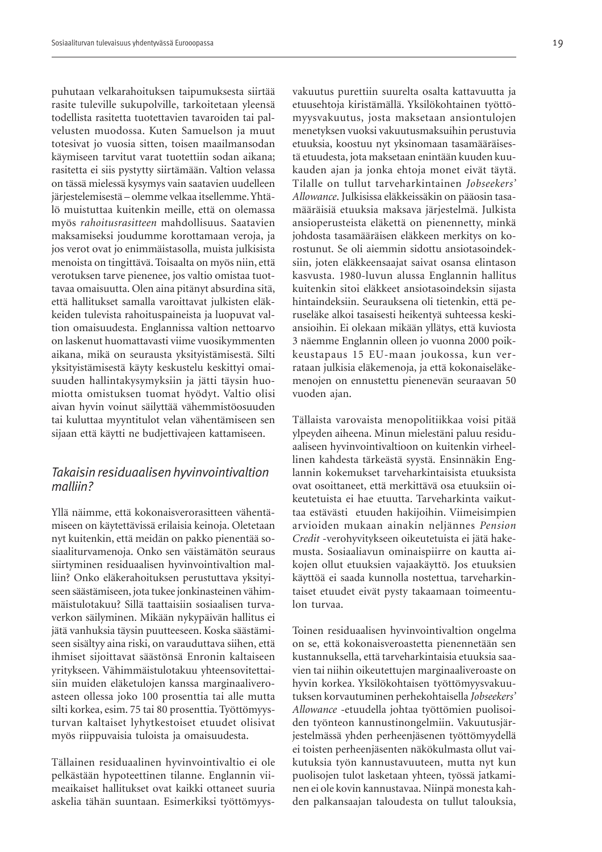puhutaan velkarahoituksen taipumuksesta siirtää rasite tuleville sukupolville, tarkoitetaan yleensä todellista rasitetta tuotettavien tavaroiden tai palvelusten muodossa. Kuten Samuelson ja muut totesivat jo vuosia sitten, toisen maailmansodan käymiseen tarvitut varat tuotettiin sodan aikana; rasitetta ei siis pystytty siirtämään. Valtion velassa on tässä mielessä kysymys vain saatavien uudelleen järjestelemisestä – olemme velkaa itsellemme. Yhtälö muistuttaa kuitenkin meille, että on olemassa myös *rahoitusrasitteen* mahdollisuus. Saatavien maksamiseksi joudumme korottamaan veroja, ja jos verot ovat jo enimmäistasolla, muista julkisista menoista on tingittävä. Toisaalta on myös niin, että verotuksen tarve pienenee, jos valtio omistaa tuottavaa omaisuutta. Olen aina pitänyt absurdina sitä, että hallitukset samalla varoittavat julkisten eläkkeiden tulevista rahoituspaineista ja luopuvat valtion omaisuudesta. Englannissa valtion nettoarvo on laskenut huomattavasti viime vuosikymmenten aikana, mikä on seurausta yksityistämisestä. Silti yksityistämisestä käyty keskustelu keskittyi omaisuuden hallintakysymyksiin ja jätti täysin huomiotta omistuksen tuomat hyödyt. Valtio olisi aivan hyvin voinut säilyttää vähemmistöosuuden tai kuluttaa myyntitulot velan vähentämiseen sen sijaan että käytti ne budjettivajeen kattamiseen.

#### *Takaisin residuaalisen hyvinvointivaltion malliin?*

Yllä näimme, että kokonaisverorasitteen vähentämiseen on käytettävissä erilaisia keinoja. Oletetaan nyt kuitenkin, että meidän on pakko pienentää sosiaaliturvamenoja. Onko sen väistämätön seuraus siirtyminen residuaalisen hyvinvointivaltion malliin? Onko eläkerahoituksen perustuttava yksityiseen säästämiseen, jota tukee jonkinasteinen vähimmäistulotakuu? Sillä taattaisiin sosiaalisen turvaverkon säilyminen. Mikään nykypäivän hallitus ei jätä vanhuksia täysin puutteeseen. Koska säästämiseen sisältyy aina riski, on varauduttava siihen, että ihmiset sijoittavat säästönsä Enronin kaltaiseen yritykseen. Vähimmäistulotakuu yhteensovitettaisiin muiden eläketulojen kanssa marginaaliveroasteen ollessa joko 100 prosenttia tai alle mutta silti korkea, esim. 75 tai 80 prosenttia. Työttömyysturvan kaltaiset lyhytkestoiset etuudet olisivat myös riippuvaisia tuloista ja omaisuudesta.

Tällainen residuaalinen hyvinvointivaltio ei ole pelkästään hypoteettinen tilanne. Englannin viimeaikaiset hallitukset ovat kaikki ottaneet suuria askelia tähän suuntaan. Esimerkiksi työttömyys-

vakuutus purettiin suurelta osalta kattavuutta ja etuusehtoja kiristämällä. Yksilökohtainen työttömyysvakuutus, josta maksetaan ansiontulojen menetyksen vuoksi vakuutusmaksuihin perustuvia etuuksia, koostuu nyt yksinomaan tasamääräisestä etuudesta, jota maksetaan enintään kuuden kuukauden ajan ja jonka ehtoja monet eivät täytä. Tilalle on tullut tarveharkintainen *Jobseekers' Allowance*. Julkisissa eläkkeissäkin on pääosin tasamääräisiä etuuksia maksava järjestelmä. Julkista ansioperusteista eläkettä on pienennetty, minkä johdosta tasamääräisen eläkkeen merkitys on korostunut. Se oli aiemmin sidottu ansiotasoindeksiin, joten eläkkeensaajat saivat osansa elintason kasvusta. 1980-luvun alussa Englannin hallitus kuitenkin sitoi eläkkeet ansiotasoindeksin sijasta hintaindeksiin. Seurauksena oli tietenkin, että peruseläke alkoi tasaisesti heikentyä suhteessa keskiansioihin. Ei olekaan mikään yllätys, että kuviosta 3 näemme Englannin olleen jo vuonna 2000 poikkeustapaus 15 EU-maan joukossa, kun verrataan julkisia eläkemenoja, ja että kokonaiseläkemenojen on ennustettu pienenevän seuraavan 50 vuoden ajan.

Tällaista varovaista menopolitiikkaa voisi pitää ylpeyden aiheena. Minun mielestäni paluu residuaaliseen hyvinvointivaltioon on kuitenkin virheellinen kahdesta tärkeästä syystä. Ensinnäkin Englannin kokemukset tarveharkintaisista etuuksista ovat osoittaneet, että merkittävä osa etuuksiin oikeutetuista ei hae etuutta. Tarveharkinta vaikuttaa estävästi etuuden hakijoihin. Viimeisimpien arvioiden mukaan ainakin neljännes *Pension Credit* -verohyvitykseen oikeutetuista ei jätä hakemusta. Sosiaaliavun ominaispiirre on kautta aikojen ollut etuuksien vajaakäyttö. Jos etuuksien käyttöä ei saada kunnolla nostettua, tarveharkintaiset etuudet eivät pysty takaamaan toimeentulon turvaa.

Toinen residuaalisen hyvinvointivaltion ongelma on se, että kokonaisveroastetta pienennetään sen kustannuksella, että tarveharkintaisia etuuksia saavien tai niihin oikeutettujen marginaaliveroaste on hyvin korkea. Yksilökohtaisen työttömyysvakuutuksen korvautuminen perhekohtaisella *Jobseekers' Allowance* -etuudella johtaa työttömien puolisoiden työnteon kannustinongelmiin. Vakuutusjärjestelmässä yhden perheenjäsenen työttömyydellä ei toisten perheenjäsenten näkökulmasta ollut vaikutuksia työn kannustavuuteen, mutta nyt kun puolisojen tulot lasketaan yhteen, työssä jatkaminen ei ole kovin kannustavaa. Niinpä monesta kahden palkansaajan taloudesta on tullut talouksia,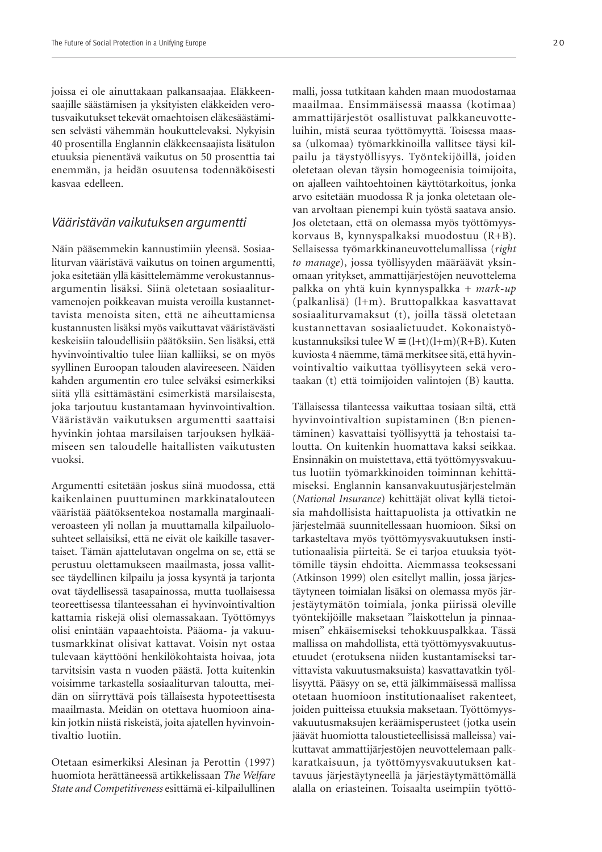joissa ei ole ainuttakaan palkansaajaa. Eläkkeensaajille säästämisen ja yksityisten eläkkeiden verotusvaikutukset tekevät omaehtoisen eläkesäästämisen selvästi vähemmän houkuttelevaksi. Nykyisin 40 prosentilla Englannin eläkkeensaajista lisätulon etuuksia pienentävä vaikutus on 50 prosenttia tai enemmän, ja heidän osuutensa todennäköisesti kasvaa edelleen.

#### *Vääristävän vaikutuksen argumentti*

Näin pääsemmekin kannustimiin yleensä. Sosiaaliturvan vääristävä vaikutus on toinen argumentti, joka esitetään yllä käsittelemämme verokustannusargumentin lisäksi. Siinä oletetaan sosiaaliturvamenojen poikkeavan muista veroilla kustannettavista menoista siten, että ne aiheuttamiensa kustannusten lisäksi myös vaikuttavat vääristävästi keskeisiin taloudellisiin päätöksiin. Sen lisäksi, että hyvinvointivaltio tulee liian kalliiksi, se on myös syyllinen Euroopan talouden alavireeseen. Näiden kahden argumentin ero tulee selväksi esimerkiksi siitä yllä esittämästäni esimerkistä marsilaisesta, joka tarjoutuu kustantamaan hyvinvointivaltion. Vääristävän vaikutuksen argumentti saattaisi hyvinkin johtaa marsilaisen tarjouksen hylkäämiseen sen taloudelle haitallisten vaikutusten vuoksi.

Argumentti esitetään joskus siinä muodossa, että kaikenlainen puuttuminen markkinatalouteen vääristää päätöksentekoa nostamalla marginaaliveroasteen yli nollan ja muuttamalla kilpailuolosuhteet sellaisiksi, että ne eivät ole kaikille tasavertaiset. Tämän ajattelutavan ongelma on se, että se perustuu olettamukseen maailmasta, jossa vallitsee täydellinen kilpailu ja jossa kysyntä ja tarjonta ovat täydellisessä tasapainossa, mutta tuollaisessa teoreettisessa tilanteessahan ei hyvinvointivaltion kattamia riskejä olisi olemassakaan. Työttömyys olisi enintään vapaaehtoista. Pääoma- ja vakuutusmarkkinat olisivat kattavat. Voisin nyt ostaa tulevaan käyttööni henkilökohtaista hoivaa, jota tarvitsisin vasta n vuoden päästä. Jotta kuitenkin voisimme tarkastella sosiaaliturvan taloutta, meidän on siirryttävä pois tällaisesta hypoteettisesta maailmasta. Meidän on otettava huomioon ainakin jotkin niistä riskeistä, joita ajatellen hyvinvointivaltio luotiin.

Otetaan esimerkiksi Alesinan ja Perottin (1997) huomiota herättäneessä artikkelissaan *The Welfare State and Competitiveness* esittämä ei-kilpailullinen

malli, jossa tutkitaan kahden maan muodostamaa maailmaa. Ensimmäisessä maassa (kotimaa) ammattijärjestöt osallistuvat palkkaneuvotteluihin, mistä seuraa työttömyyttä. Toisessa maassa (ulkomaa) työmarkkinoilla vallitsee täysi kilpailu ja täystyöllisyys. Työntekijöillä, joiden oletetaan olevan täysin homogeenisia toimijoita, on ajalleen vaihtoehtoinen käyttötarkoitus, jonka arvo esitetään muodossa R ja jonka oletetaan olevan arvoltaan pienempi kuin työstä saatava ansio. Jos oletetaan, että on olemassa myös työttömyyskorvaus B, kynnyspalkaksi muodostuu (R+B). Sellaisessa työmarkkinaneuvottelumallissa (*right to manage*), jossa työllisyyden määräävät yksinomaan yritykset, ammattijärjestöjen neuvottelema palkka on yhtä kuin kynnyspalkka + *mark-up* (palkanlisä) (l+m). Bruttopalkkaa kasvattavat sosiaaliturvamaksut (t), joilla tässä oletetaan kustannettavan sosiaalietuudet. Kokonaistyökustannuksiksi tulee W  $\equiv (l+t)(l+m)(R+B)$ . Kuten kuviosta 4 näemme, tämä merkitsee sitä, että hyvinvointivaltio vaikuttaa työllisyyteen sekä verotaakan (t) että toimijoiden valintojen (B) kautta.

Tällaisessa tilanteessa vaikuttaa tosiaan siltä, että hyvinvointivaltion supistaminen (B:n pienentäminen) kasvattaisi työllisyyttä ja tehostaisi taloutta. On kuitenkin huomattava kaksi seikkaa. Ensinnäkin on muistettava, että työttömyysvakuutus luotiin työmarkkinoiden toiminnan kehittämiseksi. Englannin kansanvakuutusjärjestelmän (*National Insurance*) kehittäjät olivat kyllä tietoisia mahdollisista haittapuolista ja ottivatkin ne järjestelmää suunnitellessaan huomioon. Siksi on tarkasteltava myös työttömyysvakuutuksen institutionaalisia piirteitä. Se ei tarjoa etuuksia työttömille täysin ehdoitta. Aiemmassa teoksessani (Atkinson 1999) olen esitellyt mallin, jossa järjestäytyneen toimialan lisäksi on olemassa myös järjestäytymätön toimiala, jonka piirissä oleville työntekijöille maksetaan "laiskottelun ja pinnaamisen" ehkäisemiseksi tehokkuuspalkkaa. Tässä mallissa on mahdollista, että työttömyysvakuutusetuudet (erotuksena niiden kustantamiseksi tarvittavista vakuutusmaksuista) kasvattavatkin työllisyyttä. Pääsyy on se, että jälkimmäisessä mallissa otetaan huomioon institutionaaliset rakenteet, joiden puitteissa etuuksia maksetaan. Työttömyysvakuutusmaksujen keräämisperusteet (jotka usein jäävät huomiotta taloustieteellisissä malleissa) vaikuttavat ammattijärjestöjen neuvottelemaan palkkaratkaisuun, ja työttömyysvakuutuksen kattavuus järjestäytyneellä ja järjestäytymättömällä alalla on eriasteinen. Toisaalta useimpiin työttö-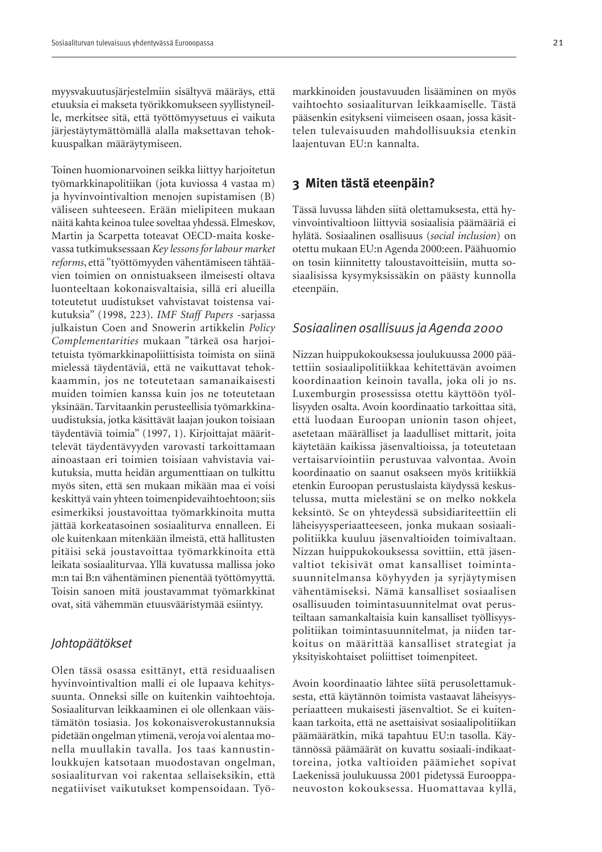myysvakuutusjärjestelmiin sisältyvä määräys, että etuuksia ei makseta työrikkomukseen syyllistyneille, merkitsee sitä, että työttömyysetuus ei vaikuta järjestäytymättömällä alalla maksettavan tehokkuuspalkan määräytymiseen.

Toinen huomionarvoinen seikka liittyy harjoitetun työmarkkinapolitiikan (jota kuviossa 4 vastaa m) ja hyvinvointivaltion menojen supistamisen (B) väliseen suhteeseen. Erään mielipiteen mukaan näitä kahta keinoa tulee soveltaa yhdessä. Elmeskov, Martin ja Scarpetta toteavat OECD-maita koskevassa tutkimuksessaan *Key lessons for labour market reforms*, että "työttömyyden vähentämiseen tähtäävien toimien on onnistuakseen ilmeisesti oltava luonteeltaan kokonaisvaltaisia, sillä eri alueilla toteutetut uudistukset vahvistavat toistensa vaikutuksia" (1998, 223). *IMF Staff Papers* -sarjassa julkaistun Coen and Snowerin artikkelin *Policy Complementarities* mukaan "tärkeä osa harjoitetuista työmarkkinapoliittisista toimista on siinä mielessä täydentäviä, että ne vaikuttavat tehokkaammin, jos ne toteutetaan samanaikaisesti muiden toimien kanssa kuin jos ne toteutetaan yksinään. Tarvitaankin perusteellisia työmarkkinauudistuksia, jotka käsittävät laajan joukon toisiaan täydentäviä toimia" (1997, 1). Kirjoittajat määrittelevät täydentävyyden varovasti tarkoittamaan ainoastaan eri toimien toisiaan vahvistavia vaikutuksia, mutta heidän argumenttiaan on tulkittu myös siten, että sen mukaan mikään maa ei voisi keskittyä vain yhteen toimenpidevaihtoehtoon; siis esimerkiksi joustavoittaa työmarkkinoita mutta jättää korkeatasoinen sosiaaliturva ennalleen. Ei ole kuitenkaan mitenkään ilmeistä, että hallitusten pitäisi sekä joustavoittaa työmarkkinoita että leikata sosiaaliturvaa. Yllä kuvatussa mallissa joko m:n tai B:n vähentäminen pienentää työttömyyttä. Toisin sanoen mitä joustavammat työmarkkinat ovat, sitä vähemmän etuusvääristymää esiintyy.

#### *Johtopäätökset*

Olen tässä osassa esittänyt, että residuaalisen hyvinvointivaltion malli ei ole lupaava kehityssuunta. Onneksi sille on kuitenkin vaihtoehtoja. Sosiaaliturvan leikkaaminen ei ole ollenkaan väistämätön tosiasia. Jos kokonaisverokustannuksia pidetään ongelman ytimenä, veroja voi alentaa monella muullakin tavalla. Jos taas kannustinloukkujen katsotaan muodostavan ongelman, sosiaaliturvan voi rakentaa sellaiseksikin, että negatiiviset vaikutukset kompensoidaan. Työ-

markkinoiden joustavuuden lisääminen on myös vaihtoehto sosiaaliturvan leikkaamiselle. Tästä pääsenkin esitykseni viimeiseen osaan, jossa käsittelen tulevaisuuden mahdollisuuksia etenkin laajentuvan EU:n kannalta.

#### **3 Miten tästä eteenpäin?**

Tässä luvussa lähden siitä olettamuksesta, että hyvinvointivaltioon liittyviä sosiaalisia päämääriä ei hylätä. Sosiaalinen osallisuus (*social inclusion*) on otettu mukaan EU:n Agenda 2000:een. Päähuomio on tosin kiinnitetty taloustavoitteisiin, mutta sosiaalisissa kysymyksissäkin on päästy kunnolla eteenpäin.

#### *Sosiaalinen osallisuus ja Agenda 2000*

Nizzan huippukokouksessa joulukuussa 2000 päätettiin sosiaalipolitiikkaa kehitettävän avoimen koordinaation keinoin tavalla, joka oli jo ns. Luxemburgin prosessissa otettu käyttöön työllisyyden osalta. Avoin koordinaatio tarkoittaa sitä, että luodaan Euroopan unionin tason ohjeet, asetetaan määrälliset ja laadulliset mittarit, joita käytetään kaikissa jäsenvaltioissa, ja toteutetaan vertaisarviointiin perustuvaa valvontaa. Avoin koordinaatio on saanut osakseen myös kritiikkiä etenkin Euroopan perustuslaista käydyssä keskustelussa, mutta mielestäni se on melko nokkela keksintö. Se on yhteydessä subsidiariteettiin eli läheisyysperiaatteeseen, jonka mukaan sosiaalipolitiikka kuuluu jäsenvaltioiden toimivaltaan. Nizzan huippukokouksessa sovittiin, että jäsenvaltiot tekisivät omat kansalliset toimintasuunnitelmansa köyhyyden ja syrjäytymisen vähentämiseksi. Nämä kansalliset sosiaalisen osallisuuden toimintasuunnitelmat ovat perusteiltaan samankaltaisia kuin kansalliset työllisyyspolitiikan toimintasuunnitelmat, ja niiden tarkoitus on määrittää kansalliset strategiat ja yksityiskohtaiset poliittiset toimenpiteet.

Avoin koordinaatio lähtee siitä perusolettamuksesta, että käytännön toimista vastaavat läheisyysperiaatteen mukaisesti jäsenvaltiot. Se ei kuitenkaan tarkoita, että ne asettaisivat sosiaalipolitiikan päämäärätkin, mikä tapahtuu EU:n tasolla. Käytännössä päämäärät on kuvattu sosiaali-indikaattoreina, jotka valtioiden päämiehet sopivat Laekenissä joulukuussa 2001 pidetyssä Eurooppaneuvoston kokouksessa. Huomattavaa kyllä,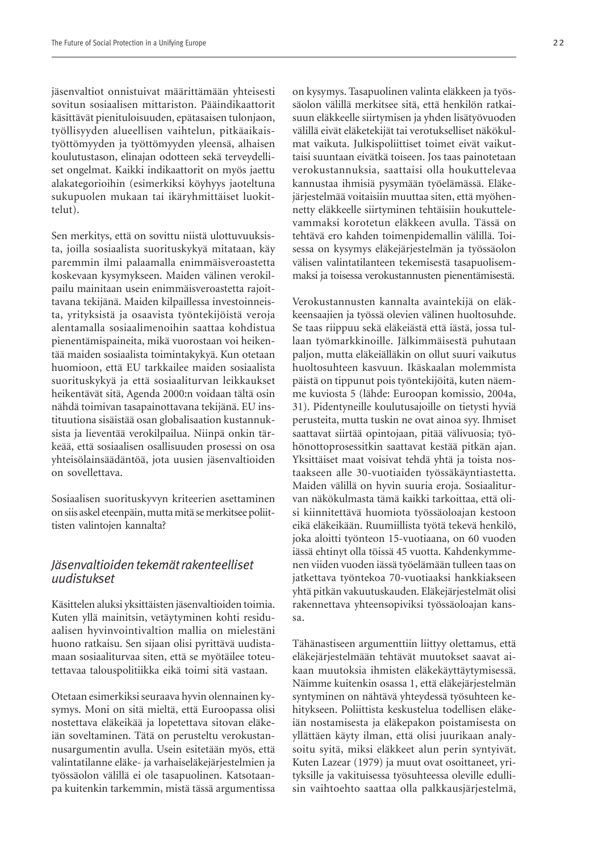jäsenvaltiot onnistuivat määrittämään yhteisesti sovitun sosiaalisen mittariston. Pääindikaattorit käsittävät pienituloisuuden, epätasaisen tulonjaon, työllisyyden alueellisen vaihtelun, pitkäaikaistyöttömyyden ja työttömyyden yleensä, alhaisen koulutustason, elinajan odotteen sekä terveydelliset ongelmat. Kaikki indikaattorit on myös jaettu alakategorioihin (esimerkiksi köyhyys jaoteltuna sukupuolen mukaan tai ikäryhmittäiset luokittelut).

Sen merkitys, että on sovittu niistä ulottuvuuksista, joilla sosiaalista suorituskykyä mitataan, käy paremmin ilmi palaamalla enimmäisveroastetta koskevaan kysymykseen. Maiden välinen verokilpailu mainitaan usein enimmäisveroastetta rajoittavana tekijänä. Maiden kilpaillessa investoinneista, yrityksistä ja osaavista työntekijöistä veroja alentamalla sosiaalimenoihin saattaa kohdistua pienentämispaineita, mikä vuorostaan voi heikentää maiden sosiaalista toimintakykyä. Kun otetaan huomioon, että EU tarkkailee maiden sosiaalista suorituskykyä ja että sosiaaliturvan leikkaukset heikentävät sitä, Agenda 2000:n voidaan tältä osin nähdä toimivan tasapainottavana tekijänä. EU instituutiona sisäistää osan globalisaation kustannuksista ja lieventää verokilpailua. Niinpä onkin tärkeää, että sosiaalisen osallisuuden prosessi on osa yhteisölainsäädäntöä, jota uusien jäsenvaltioiden on sovellettava.

Sosiaalisen suorituskyvyn kriteerien asettaminen on siis askel eteenpäin, mutta mitä se merkitsee poliittisten valintojen kannalta?

# *Jäsenvaltioiden tekemät rakenteelliset uudistukset*

Käsittelen aluksi yksittäisten jäsenvaltioiden toimia. Kuten yllä mainitsin, vetäytyminen kohti residuaalisen hyvinvointivaltion mallia on mielestäni huono ratkaisu. Sen sijaan olisi pyrittävä uudistamaan sosiaaliturvaa siten, että se myötäilee toteutettavaa talouspolitiikka eikä toimi sitä vastaan.

Otetaan esimerkiksi seuraava hyvin olennainen kysymys. Moni on sitä mieltä, että Euroopassa olisi nostettava eläkeikää ja lopetettava sitovan eläkeiän soveltaminen. Tätä on perusteltu verokustannusargumentin avulla. Usein esitetään myös, että valintatilanne eläke- ja varhaiseläkejärjestelmien ja työssäolon välillä ei ole tasapuolinen. Katsotaanpa kuitenkin tarkemmin, mistä tässä argumentissa

on kysymys. Tasapuolinen valinta eläkkeen ja työssäolon välillä merkitsee sitä, että henkilön ratkaisuun eläkkeelle siirtymisen ja yhden lisätyövuoden välillä eivät eläketekijät tai verotukselliset näkökulmat vaikuta. Julkispoliittiset toimet eivät vaikuttaisi suuntaan eivätkä toiseen. Jos taas painotetaan verokustannuksia, saattaisi olla houkuttelevaa kannustaa ihmisiä pysymään työelämässä. Eläkejärjestelmää voitaisiin muuttaa siten, että myöhennetty eläkkeelle siirtyminen tehtäisiin houkuttelevammaksi korotetun eläkkeen avulla. Tässä on tehtävä ero kahden toimenpidemallin välillä. Toisessa on kysymys eläkejärjestelmän ja työssäolon välisen valintatilanteen tekemisestä tasapuolisemmaksi ja toisessa verokustannusten pienentämisestä.

Verokustannusten kannalta avaintekijä on eläkkeensaajien ja työssä olevien välinen huoltosuhde. Se taas riippuu sekä eläkeiästä että iästä, jossa tullaan työmarkkinoille. Jälkimmäisestä puhutaan paljon, mutta eläkeiälläkin on ollut suuri vaikutus huoltosuhteen kasvuun. Ikäskaalan molemmista päistä on tippunut pois työntekijöitä, kuten näemme kuviosta 5 (lähde: Euroopan komissio, 2004a, 31). Pidentyneille koulutusajoille on tietysti hyviä perusteita, mutta tuskin ne ovat ainoa syy. Ihmiset saattavat siirtää opintojaan, pitää välivuosia; työhönottoprosessitkin saattavat kestää pitkän ajan. Yksittäiset maat voisivat tehdä yhtä ja toista nostaakseen alle 30-vuotiaiden työssäkäyntiastetta. Maiden välillä on hyvin suuria eroja. Sosiaaliturvan näkökulmasta tämä kaikki tarkoittaa, että olisi kiinnitettävä huomiota työssäoloajan kestoon eikä eläkeikään. Ruumiillista työtä tekevä henkilö, joka aloitti työnteon 15-vuotiaana, on 60 vuoden iässä ehtinyt olla töissä 45 vuotta. Kahdenkymmenen viiden vuoden iässä työelämään tulleen taas on jatkettava työntekoa 70-vuotiaaksi hankkiakseen yhtä pitkän vakuutuskauden. Eläkejärjestelmät olisi rakennettava yhteensopiviksi työssäoloajan kanssa.

Tähänastiseen argumenttiin liittyy olettamus, että eläkejärjestelmään tehtävät muutokset saavat aikaan muutoksia ihmisten eläkekäyttäytymisessä. Näimme kuitenkin osassa 1, että eläkejärjestelmän syntyminen on nähtävä yhteydessä työsuhteen kehitykseen. Poliittista keskustelua todellisen eläkeiän nostamisesta ja eläkepakon poistamisesta on yllättäen käyty ilman, että olisi juurikaan analysoitu syitä, miksi eläkkeet alun perin syntyivät. Kuten Lazear (1979) ja muut ovat osoittaneet, yrityksille ja vakituisessa työsuhteessa oleville edullisin vaihtoehto saattaa olla palkkausjärjestelmä,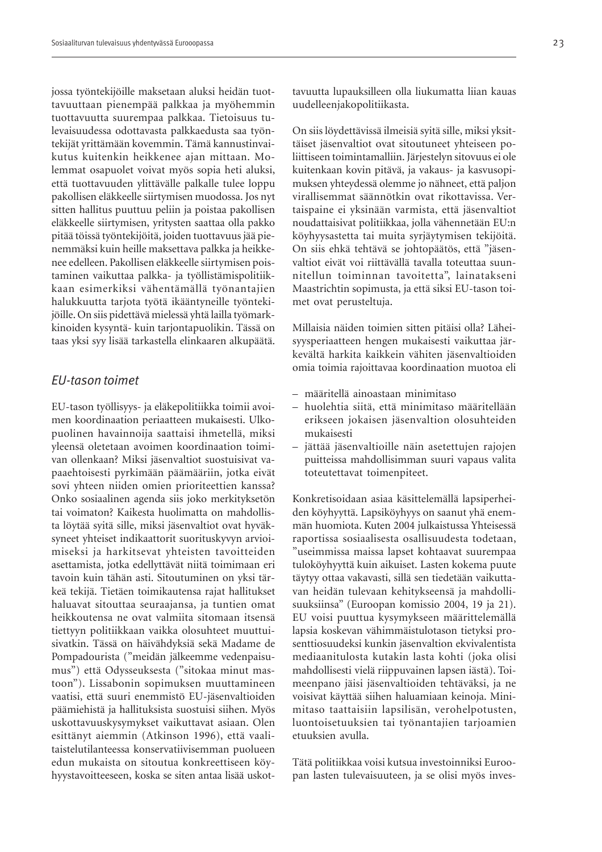jossa työntekijöille maksetaan aluksi heidän tuottavuuttaan pienempää palkkaa ja myöhemmin tuottavuutta suurempaa palkkaa. Tietoisuus tulevaisuudessa odottavasta palkkaedusta saa työntekijät yrittämään kovemmin. Tämä kannustinvaikutus kuitenkin heikkenee ajan mittaan. Molemmat osapuolet voivat myös sopia heti aluksi, että tuottavuuden ylittävälle palkalle tulee loppu pakollisen eläkkeelle siirtymisen muodossa. Jos nyt sitten hallitus puuttuu peliin ja poistaa pakollisen eläkkeelle siirtymisen, yritysten saattaa olla pakko pitää töissä työntekijöitä, joiden tuottavuus jää pienemmäksi kuin heille maksettava palkka ja heikkenee edelleen. Pakollisen eläkkeelle siirtymisen poistaminen vaikuttaa palkka- ja työllistämispolitiikkaan esimerkiksi vähentämällä työnantajien halukkuutta tarjota työtä ikääntyneille työntekijöille. On siis pidettävä mielessä yhtä lailla työmarkkinoiden kysyntä- kuin tarjontapuolikin. Tässä on taas yksi syy lisää tarkastella elinkaaren alkupäätä.

#### *EU-tason toimet*

EU-tason työllisyys- ja eläkepolitiikka toimii avoimen koordinaation periaatteen mukaisesti. Ulkopuolinen havainnoija saattaisi ihmetellä, miksi yleensä oletetaan avoimen koordinaation toimivan ollenkaan? Miksi jäsenvaltiot suostuisivat vapaaehtoisesti pyrkimään päämääriin, jotka eivät sovi yhteen niiden omien prioriteettien kanssa? Onko sosiaalinen agenda siis joko merkityksetön tai voimaton? Kaikesta huolimatta on mahdollista löytää syitä sille, miksi jäsenvaltiot ovat hyväksyneet yhteiset indikaattorit suorituskyvyn arvioimiseksi ja harkitsevat yhteisten tavoitteiden asettamista, jotka edellyttävät niitä toimimaan eri tavoin kuin tähän asti. Sitoutuminen on yksi tärkeä tekijä. Tietäen toimikautensa rajat hallitukset haluavat sitouttaa seuraajansa, ja tuntien omat heikkoutensa ne ovat valmiita sitomaan itsensä tiettyyn politiikkaan vaikka olosuhteet muuttuisivatkin. Tässä on häivähdyksiä sekä Madame de Pompadourista ("meidän jälkeemme vedenpaisumus") että Odysseuksesta ("sitokaa minut mastoon"). Lissabonin sopimuksen muuttamineen vaatisi, että suuri enemmistö EU-jäsenvaltioiden päämiehistä ja hallituksista suostuisi siihen. Myös uskottavuuskysymykset vaikuttavat asiaan. Olen esittänyt aiemmin (Atkinson 1996), että vaalitaistelutilanteessa konservatiivisemman puolueen edun mukaista on sitoutua konkreettiseen köyhyystavoitteeseen, koska se siten antaa lisää uskottavuutta lupauksilleen olla liukumatta liian kauas uudelleenjakopolitiikasta.

On siis löydettävissä ilmeisiä syitä sille, miksi yksittäiset jäsenvaltiot ovat sitoutuneet yhteiseen poliittiseen toimintamalliin. Järjestelyn sitovuus ei ole kuitenkaan kovin pitävä, ja vakaus- ja kasvusopimuksen yhteydessä olemme jo nähneet, että paljon virallisemmat säännötkin ovat rikottavissa. Vertaispaine ei yksinään varmista, että jäsenvaltiot noudattaisivat politiikkaa, jolla vähennetään EU:n köyhyysastetta tai muita syrjäytymisen tekijöitä. On siis ehkä tehtävä se johtopäätös, että "jäsenvaltiot eivät voi riittävällä tavalla toteuttaa suunnitellun toiminnan tavoitetta", lainatakseni Maastrichtin sopimusta, ja että siksi EU-tason toimet ovat perusteltuja.

Millaisia näiden toimien sitten pitäisi olla? Läheisyysperiaatteen hengen mukaisesti vaikuttaa järkevältä harkita kaikkein vähiten jäsenvaltioiden omia toimia rajoittavaa koordinaation muotoa eli

- määritellä ainoastaan minimitaso
- huolehtia siitä, että minimitaso määritellään erikseen jokaisen jäsenvaltion olosuhteiden mukaisesti
- jättää jäsenvaltioille näin asetettujen rajojen puitteissa mahdollisimman suuri vapaus valita toteutettavat toimenpiteet.

Konkretisoidaan asiaa käsittelemällä lapsiperheiden köyhyyttä. Lapsiköyhyys on saanut yhä enemmän huomiota. Kuten 2004 julkaistussa Yhteisessä raportissa sosiaalisesta osallisuudesta todetaan, "useimmissa maissa lapset kohtaavat suurempaa tuloköyhyyttä kuin aikuiset. Lasten kokema puute täytyy ottaa vakavasti, sillä sen tiedetään vaikuttavan heidän tulevaan kehitykseensä ja mahdollisuuksiinsa" (Euroopan komissio 2004, 19 ja 21). EU voisi puuttua kysymykseen määrittelemällä lapsia koskevan vähimmäistulotason tietyksi prosenttiosuudeksi kunkin jäsenvaltion ekvivalentista mediaanitulosta kutakin lasta kohti (joka olisi mahdollisesti vielä riippuvainen lapsen iästä). Toimeenpano jäisi jäsenvaltioiden tehtäväksi, ja ne voisivat käyttää siihen haluamiaan keinoja. Minimitaso taattaisiin lapsilisän, verohelpotusten, luontoisetuuksien tai työnantajien tarjoamien etuuksien avulla.

Tätä politiikkaa voisi kutsua investoinniksi Euroopan lasten tulevaisuuteen, ja se olisi myös inves-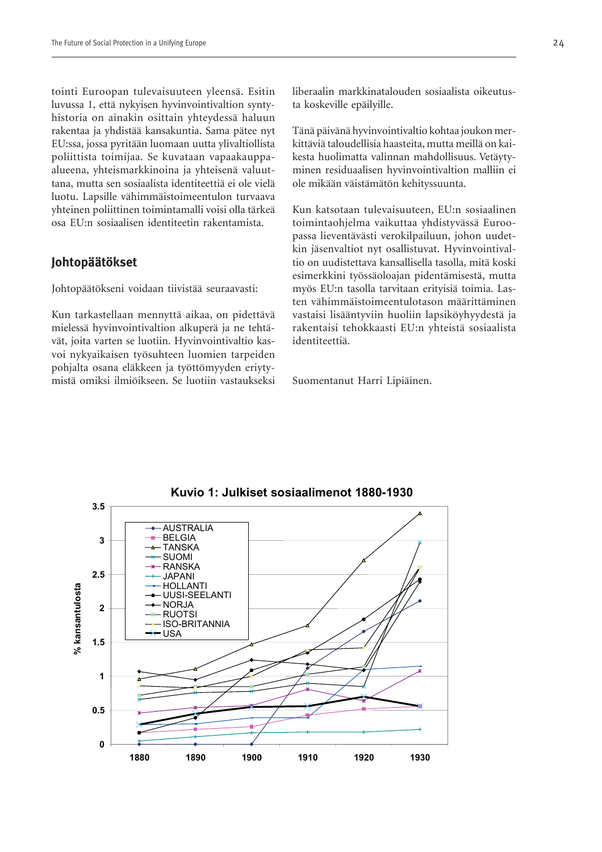tointi Euroopan tulevaisuuteen yleensä. Esitin luvussa 1, että nykyisen hyvinvointivaltion syntyhistoria on ainakin osittain yhteydessä haluun rakentaa ja yhdistää kansakuntia. Sama pätee nyt EU:ssa, jossa pyritään luomaan uutta ylivaltiollista poliittista toimijaa. Se kuvataan vapaakauppaalueena, yhteismarkkinoina ja yhteisenä valuuttana, mutta sen sosiaalista identiteettiä ei ole vielä luotu. Lapsille vähimmäistoimeentulon turvaava yhteinen poliittinen toimintamalli voisi olla tärkeä osa EU:n sosiaalisen identiteetin rakentamista.

#### **Johtopäätökset**

Johtopäätökseni voidaan tiivistää seuraavasti:

Kun tarkastellaan mennyttä aikaa, on pidettävä mielessä hyvinvointivaltion alkuperä ja ne tehtävät, joita varten se luotiin. Hyvinvointivaltio kasvoi nykyaikaisen työsuhteen luomien tarpeiden pohjalta osana eläkkeen ja työttömyyden eriytymistä omiksi ilmiöikseen. Se luotiin vastaukseksi

liberaalin markkinatalouden sosiaalista oikeutusta koskeville epäilyille.

Tänä päivänä hyvinvointivaltio kohtaa joukon merkittäviä taloudellisia haasteita, mutta meillä on kaikesta huolimatta valinnan mahdollisuus. Vetäytyminen residuaalisen hyvinvointivaltion malliin ei ole mikään väistämätön kehityssuunta.

Kun katsotaan tulevaisuuteen, EU:n sosiaalinen toimintaohjelma vaikuttaa yhdistyvässä Euroopassa lieventävästi verokilpailuun, johon uudetkin jäsenvaltiot nyt osallistuvat. Hyvinvointivaltio on uudistettava kansallisella tasolla, mitä koski esimerkkini työssäoloajan pidentämisestä, mutta myös EU:n tasolla tarvitaan erityisiä toimia. Lasten vähimmäistoimeentulotason määrittäminen vastaisi lisääntyviin huoliin lapsiköyhyydestä ja rakentaisi tehokkaasti EU:n yhteistä sosiaalista identiteettiä.

Suomentanut Harri Lipiäinen.



**Kuvio 1: Julkiset sosiaalimenot 1880-1930**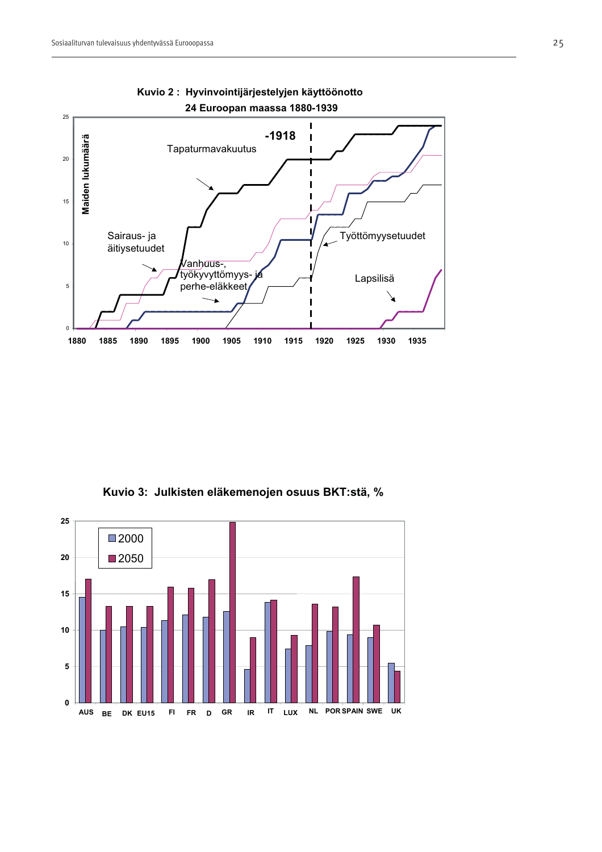



**Kuvio 3: Julkisten eläkemenojen osuus BKT:stä, %**

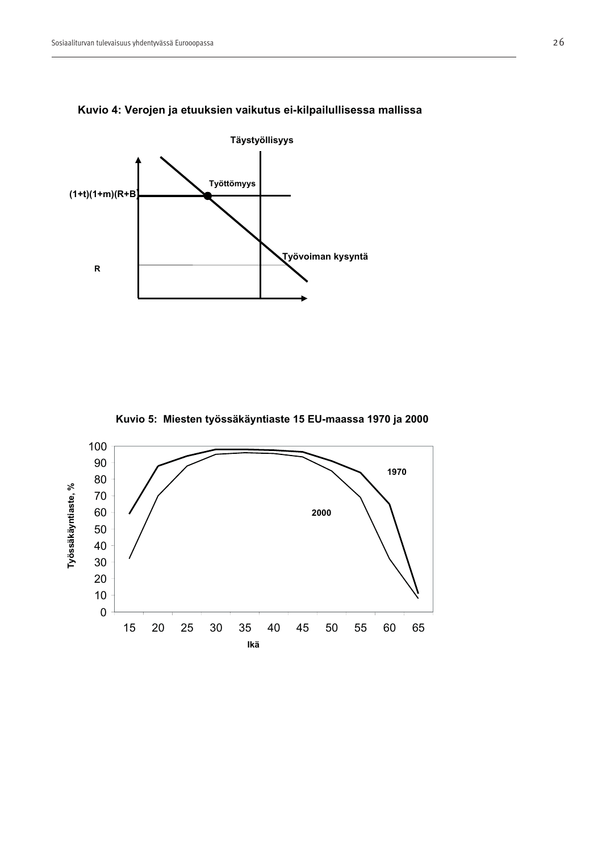



**Kuvio 5: Miesten työssäkäyntiaste 15 EU-maassa 1970 ja 2000**